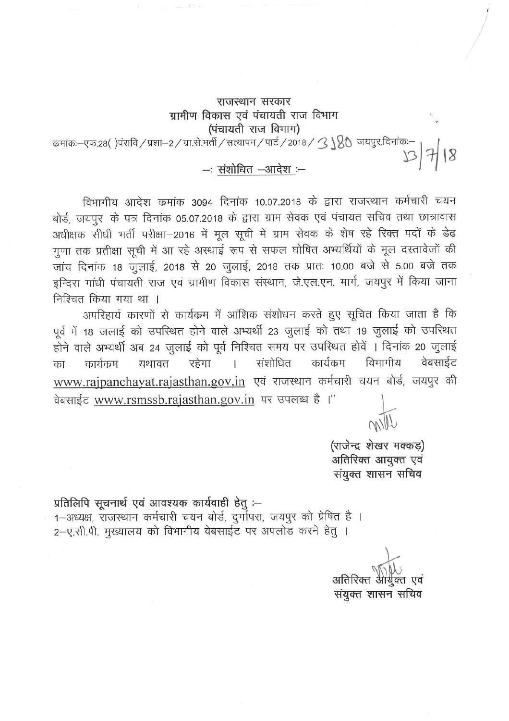## राजस्थान सरकार ग्रामीण विकास एवं पंचायती राज विभाग (पंचायती राज विभाग)

कमांकः-एफ.28()पंरावि / प्रशा-2 / ग्रा.से.भर्ती / सत्यापन / पार्ट / 2018 /  $\mathcal{B} \setminus \mathbb{R}$ ि जयपुर,दिनांकः-13/7/18

 $-$ : संशोधित  $-$ आदेश :-

विभागीय आदेश कमांक 3094 दिनांक 10.07.2018 के द्वारा राजस्थान कर्मचारी चयन बोर्ड, जयपुर के पत्र दिनांक 05.07.2018 के द्वारा ग्राम सेवक एवं पंचायत सचिव तथा छात्रावास अधीक्षक सीधी भर्ती परीक्षा-2016 में मूल सूची में ग्राम सेवक के शेष रहे रिक्त पदों के डेढ़ गुणा तक प्रतीक्षा सूची में आ रहे अस्थाई रूप से सफल घोषित अभ्यर्थियों के मूल दस्तावेजों की जांच दिनांक 18 जुलाई, 2018 से 20 जुलाई, 2018 तक प्रातः 10.00 बजे से 5.00 बजे तक इन्दिरा गांधी पंचायती राज एवं ग्रामीण विकास संस्थान, जे.एल.एन. मार्ग, जयपूर में किया जाना निश्चित किया गया था ।

अपरिहार्य कारणों से कार्यक्रम में आंशिक संशोधन करते हुए सूचित किया जाता है कि पूर्व में 18 जलाई को उपरिथत होने वाले अभ्यर्थी 23 जुलाई को तथा 19 जुलाई को उपरिथत होने वाले अभ्यर्थी अब 24 जुलाई को पूर्व निश्चित समय पर उपस्थित होवें । दिनांक 20 जुलाई संशोधित कार्यक्रम विभागीय वेबसाईट ं यथावत रहेगा  $\mathbf{r}$ कार्यक्रम का www.rajpanchayat.rajasthan.gov.in एवं राजस्थान कर्मचारी चयन बोर्ड, जयपुर की वेबसाईट www.rsmssb.rajasthan.gov.in पर उपलब्ध है।"

> (राजेन्द्र शेखर मक्कड़) अतिरिक्त आयुक्त एवं संयुक्त शासन सचिव

प्रतिलिपि सूचनार्थ एवं आवश्यक कार्यवाही हेतु :-1-अध्यक्ष, राजस्थान कर्मचारी चयन बोर्ड, दुर्गापरा, जयपुर को प्रेषित है । 2-ए.सी.पी. मुख्यालय को विभागीय वेबसाईट पर अपलोड करने हेतु ।

> अतिरिक्त संयुक्त शासन सचिव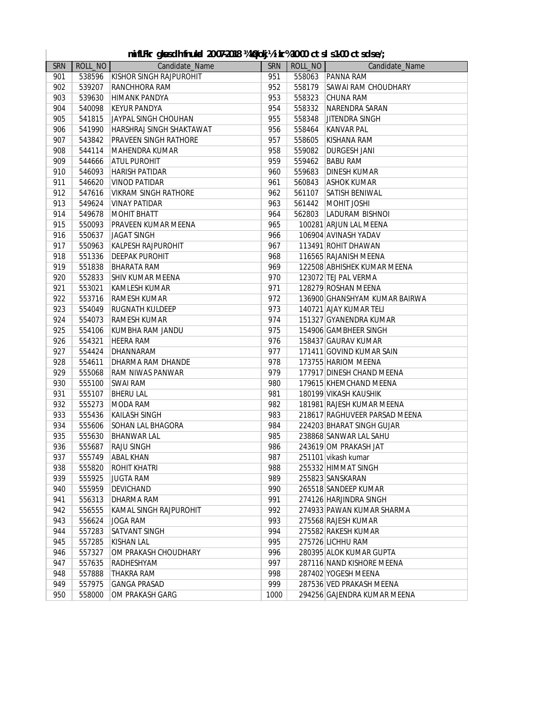|            | mifLFkr gkusdh fnukad 20-07-2018 ¼kØokj½ikr%10-00 ctsls1-00 ctsdse/; |                                 |            |         |                               |  |  |  |
|------------|----------------------------------------------------------------------|---------------------------------|------------|---------|-------------------------------|--|--|--|
| <b>SRN</b> | ROLL_NO                                                              | Candidate_Name                  | <b>SRN</b> | ROLL_NO | Candidate_Name                |  |  |  |
| 901        | 538596                                                               | <b>KISHOR SINGH RAJPUROHIT</b>  | 951        | 558063  | <b>PANNA RAM</b>              |  |  |  |
| 902        | 539207                                                               | <b>RANCHHORA RAM</b>            | 952        | 558179  | <b>SAWAI RAM CHOUDHARY</b>    |  |  |  |
| 903        | 539630                                                               | HIMANK PANDYA                   | 953        | 558323  | <b>CHUNA RAM</b>              |  |  |  |
| 904        | 540098                                                               | <b>KEYUR PANDYA</b>             | 954        | 558332  | <b>NARENDRA SARAN</b>         |  |  |  |
| 905        | 541815                                                               | JAYPAL SINGH CHOUHAN            | 955        | 558348  | <b>JITENDRA SINGH</b>         |  |  |  |
| 906        | 541990                                                               | <b>HARSHRAJ SINGH SHAKTAWAT</b> | 956        | 558464  | <b>KANVAR PAL</b>             |  |  |  |
| 907        | 543842                                                               | <b>PRAVEEN SINGH RATHORE</b>    | 957        | 558605  | KISHANA RAM                   |  |  |  |
| 908        | 544114                                                               | <b>MAHENDRA KUMAR</b>           | 958        | 559082  | <b>DURGESH JANI</b>           |  |  |  |
| 909        | 544666                                                               | <b>ATUL PUROHIT</b>             | 959        | 559462  | <b>BABU RAM</b>               |  |  |  |
| 910        | 546093                                                               | <b>HARISH PATIDAR</b>           | 960        | 559683  | <b>DINESH KUMAR</b>           |  |  |  |
| 911        | 546620                                                               | <b>VINOD PATIDAR</b>            | 961        | 560843  | <b>ASHOK KUMAR</b>            |  |  |  |
| 912        | 547616                                                               | <b>VIKRAM SINGH RATHORE</b>     | 962        | 561107  | SATISH BENIWAL                |  |  |  |
| 913        | 549624                                                               | <b>VINAY PATIDAR</b>            | 963        | 561442  | <b>MOHIT JOSHI</b>            |  |  |  |
| 914        | 549678                                                               | <b>MOHIT BHATT</b>              | 964        | 562803  | LADURAM BISHNOI               |  |  |  |
| 915        | 550093                                                               | <b>PRAVEEN KUMAR MEENA</b>      | 965        |         | 100281 ARJUN LAL MEENA        |  |  |  |
| 916        | 550637                                                               | <b>JAGAT SINGH</b>              | 966        |         | 106904 AVINASH YADAV          |  |  |  |
| 917        | 550963                                                               | <b>KALPESH RAJPUROHIT</b>       | 967        |         | 113491 ROHIT DHAWAN           |  |  |  |
| 918        | 551336                                                               | <b>DEEPAK PUROHIT</b>           | 968        |         | 116565 RAJANISH MEENA         |  |  |  |
| 919        | 551838                                                               | <b>BHARATA RAM</b>              | 969        |         | 122508 ABHISHEK KUMAR MEENA   |  |  |  |
| 920        | 552833                                                               | <b>SHIV KUMAR MEENA</b>         | 970        |         | 123072 TEJ PAL VERMA          |  |  |  |
| 921        | 553021                                                               | <b>KAMLESH KUMAR</b>            | 971        |         | 128279 ROSHAN MEENA           |  |  |  |
| 922        | 553716                                                               | <b>RAMESH KUMAR</b>             | 972        |         | 136900 GHANSHYAM KUMAR BAIRWA |  |  |  |
| 923        | 554049                                                               | <b>RUGNATH KULDEEP</b>          | 973        |         | 140721 AJAY KUMAR TELI        |  |  |  |
| 924        | 554073                                                               | <b>RAMESH KUMAR</b>             | 974        |         | 151327 GYANENDRA KUMAR        |  |  |  |
| 925        | 554106                                                               | KUMBHA RAM JANDU                | 975        |         | 154906 GAMBHEER SINGH         |  |  |  |
| 926        | 554321                                                               | <b>HEERA RAM</b>                | 976        |         | 158437 GAURAV KUMAR           |  |  |  |
| 927        | 554424                                                               | DHANNARAM                       | 977        |         | 171411 GOVIND KUMAR SAIN      |  |  |  |
| 928        | 554611                                                               | DHARMA RAM DHANDE               | 978        |         | 173755 HARIOM MEENA           |  |  |  |
| 929        | 555068                                                               | <b>RAM NIWAS PANWAR</b>         | 979        |         | 177917 DINESH CHAND MEENA     |  |  |  |
| 930        | 555100                                                               | <b>SWAI RAM</b>                 | 980        |         | 179615 KHEMCHAND MEENA        |  |  |  |
| 931        | 555107                                                               | <b>BHERU LAL</b>                | 981        |         | 180199 VIKASH KAUSHIK         |  |  |  |
| 932        | 555273                                                               | MODA RAM                        | 982        |         | 181981 RAJESH KUMAR MEENA     |  |  |  |
| 933        | 555436                                                               | KAILASH SINGH                   | 983        |         | 218617 RAGHUVEER PARSAD MEENA |  |  |  |
| 934        | 555606                                                               | <b>SOHAN LAL BHAGORA</b>        | 984        |         | 224203 BHARAT SINGH GUJAR     |  |  |  |
| 935        | 555630                                                               | <b>BHANWAR LAL</b>              | 985        |         | 238868 SANWAR LAL SAHU        |  |  |  |
| 936        | 555687                                                               | <b>RAJU SINGH</b>               | 986        |         | 243619 OM PRAKASH JAT         |  |  |  |
| 937        | 555749                                                               | <b>ABAL KHAN</b>                | 987        |         | 251101 vikash kumar           |  |  |  |
| 938        | 555820                                                               | <b>ROHIT KHATRI</b>             | 988        |         | 255332 HIMMAT SINGH           |  |  |  |
| 939        | 555925                                                               | <b>JUGTA RAM</b>                | 989        |         | 255823 SANSKARAN              |  |  |  |
| 940        | 555959                                                               | <b>DEVICHAND</b>                | 990        |         | 265518 SANDEEP KUMAR          |  |  |  |
| 941        | 556313                                                               | DHARMA RAM                      | 991        |         | 274126 HARJINDRA SINGH        |  |  |  |
| 942        | 556555                                                               | KAMAL SINGH RAJPUROHIT          | 992        |         | 274933 PAWAN KUMAR SHARMA     |  |  |  |
| 943        | 556624                                                               | JOGA RAM                        | 993        |         | 275568 RAJESH KUMAR           |  |  |  |
| 944        | 557283                                                               | <b>SATVANT SINGH</b>            | 994        |         | 275582 RAKESH KUMAR           |  |  |  |
| 945        | 557285                                                               | <b>KISHAN LAL</b>               | 995        |         | 275726 LICHHU RAM             |  |  |  |
| 946        | 557327                                                               | OM PRAKASH CHOUDHARY            | 996        |         | 280395 ALOK KUMAR GUPTA       |  |  |  |
| 947        | 557635                                                               | RADHESHYAM                      | 997        |         | 287116 NAND KISHORE MEENA     |  |  |  |
| 948        | 557888                                                               | THAKRA RAM                      | 998        |         | 287402 YOGESH MEENA           |  |  |  |
| 949        | 557975                                                               | <b>GANGA PRASAD</b>             | 999        |         | 287536 VED PRAKASH MEENA      |  |  |  |
| 950        | 558000                                                               | OM PRAKASH GARG                 | 1000       |         | 294256 GAJENDRA KUMAR MEENA   |  |  |  |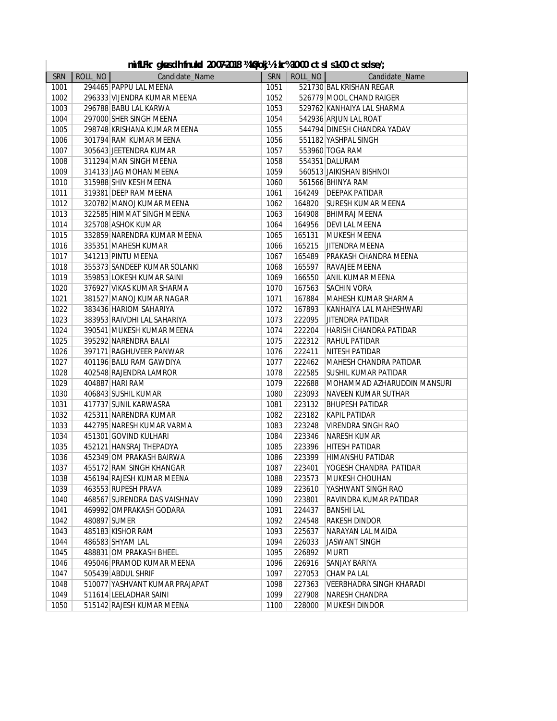|  |  |  | nifLFkr qkusdh fnukal 20-07-2018 ¼kØokj½ikr%10-00 ctsl s1-00 ctsdse/; |  |  |  |  |  |
|--|--|--|-----------------------------------------------------------------------|--|--|--|--|--|
|--|--|--|-----------------------------------------------------------------------|--|--|--|--|--|

|            |         | mifLFkr gkusdh fnukal 20-07-2018 ¼kØokj½ikr%10-00 ctsls1-00 ctsdse/; |      |         |                                 |
|------------|---------|----------------------------------------------------------------------|------|---------|---------------------------------|
| <b>SRN</b> | ROLL_NO | Candidate_Name                                                       | SRN  | ROLL_NO | Candidate_Name                  |
| 1001       |         | 294465 PAPPU LAL MEENA                                               | 1051 |         | 521730 BAL KRISHAN REGAR        |
| 1002       |         | 296333 VIJENDRA KUMAR MEENA                                          | 1052 |         | 526779 MOOL CHAND RAIGER        |
| 1003       |         | 296788 BABU LAL KARWA                                                | 1053 |         | 529762 KANHAIYA LAL SHARMA      |
| 1004       |         | 297000 SHER SINGH MEENA                                              | 1054 |         | 542936 ARJUN LAL ROAT           |
| 1005       |         | 298748 KRISHANA KUMAR MEENA                                          | 1055 |         | 544794 DINESH CHANDRA YADAV     |
| 1006       |         | 301794 RAM KUMAR MEENA                                               | 1056 |         | 551182 YASHPAL SINGH            |
| 1007       |         | 305643 JEETENDRA KUMAR                                               | 1057 |         | 553960 TOGA RAM                 |
| 1008       |         | 311294 MAN SINGH MEENA                                               | 1058 |         | 554351 DALURAM                  |
| 1009       |         | 314133 JAG MOHAN MEENA                                               | 1059 |         | 560513 JAIKISHAN BISHNOI        |
| 1010       |         | 315988 SHIV KESH MEENA                                               | 1060 |         | 561566 BHINYA RAM               |
| 1011       |         | 319381 DEEP RAM MEENA                                                | 1061 |         | 164249   DEEPAK PATIDAR         |
| 1012       |         | 320782 MANOJ KUMAR MEENA                                             | 1062 | 164820  | <b>SURESH KUMAR MEENA</b>       |
| 1013       |         | 322585 HIMMAT SINGH MEENA                                            | 1063 | 164908  | <b>BHIMRAJ MEENA</b>            |
| 1014       |         | 325708 ASHOK KUMAR                                                   | 1064 | 164956  | <b>DEVI LAL MEENA</b>           |
| 1015       |         | 332859 NARENDRA KUMAR MEENA                                          | 1065 | 165131  | <b>MUKESH MEENA</b>             |
| 1016       |         | 335351 MAHESH KUMAR                                                  | 1066 | 165215  | <b>JITENDRA MEENA</b>           |
| 1017       |         | 341213 PINTU MEENA                                                   | 1067 | 165489  | <b>PRAKASH CHANDRA MEENA</b>    |
| 1018       |         | 355373 SANDEEP KUMAR SOLANKI                                         | 1068 | 165597  | <b>RAVAJEE MEENA</b>            |
| 1019       |         | 359853 LOKESH KUMAR SAINI                                            | 1069 | 166550  | <b>ANIL KUMAR MEENA</b>         |
| 1020       |         | 376927 VIKAS KUMAR SHARMA                                            | 1070 | 167563  | <b>SACHIN VORA</b>              |
| 1021       |         | 381527 MANOJ KUMAR NAGAR                                             | 1071 | 167884  | MAHESH KUMAR SHARMA             |
| 1022       |         | 383436 HARIOM SAHARIYA                                               | 1072 | 167893  | KANHAIYA LAL MAHESHWARI         |
| 1023       |         | 383953 RAIVDHI LAL SAHARIYA                                          | 1073 | 222095  | <b>JITENDRA PATIDAR</b>         |
| 1024       |         | 390541 MUKESH KUMAR MEENA                                            | 1074 | 222204  | <b>HARISH CHANDRA PATIDAR</b>   |
| 1025       |         | 395292 NARENDRA BALAI                                                | 1075 | 222312  | <b>RAHUL PATIDAR</b>            |
| 1026       |         | 397171 RAGHUVEER PANWAR                                              | 1076 | 222411  | <b>NITESH PATIDAR</b>           |
| 1027       |         | 401196 BALU RAM GAWDIYA                                              | 1077 | 222462  | MAHESH CHANDRA PATIDAR          |
| 1028       |         | 402548 RAJENDRA LAMROR                                               | 1078 | 222585  | <b>SUSHIL KUMAR PATIDAR</b>     |
| 1029       |         | 404887 HARI RAM                                                      | 1079 | 222688  | MOHAMMAD AZHARUDDIN MANSURI     |
| 1030       |         | 406843 SUSHIL KUMAR                                                  | 1080 | 223093  | NAVEEN KUMAR SUTHAR             |
| 1031       |         | 417737 SUNIL KARWASRA                                                | 1081 | 223132  | <b>BHUPESH PATIDAR</b>          |
| 1032       |         | 425311 NARENDRA KUMAR                                                | 1082 | 223182  | <b>KAPIL PATIDAR</b>            |
| 1033       |         | 442795 NARESH KUMAR VARMA                                            | 1083 | 223248  | VIRENDRA SINGH RAO              |
| 1034       |         | 451301 GOVIND KULHARI                                                | 1084 | 223346  | NARESH KUMAR                    |
| 1035       |         | 452121 HANSRAJ THEPADYA                                              | 1085 | 223396  | <b>HITESH PATIDAR</b>           |
| 1036       |         | 452349 OM PRAKASH BAIRWA                                             | 1086 |         | 223399 HIMANSHU PATIDAR         |
| 1037       |         | 455172 RAM SINGH KHANGAR                                             | 1087 | 223401  | YOGESH CHANDRA PATIDAR          |
| 1038       |         | 456194 RAJESH KUMAR MEENA                                            | 1088 | 223573  | MUKESH CHOUHAN                  |
| 1039       |         | 463553 RUPESH PRAVA                                                  | 1089 | 223610  | YASHWANT SINGH RAO              |
| 1040       |         | 468567 SURENDRA DAS VAISHNAV                                         | 1090 | 223801  | RAVINDRA KUMAR PATIDAR          |
| 1041       |         | 469992 OMPRAKASH GODARA                                              | 1091 | 224437  | <b>BANSHI LAL</b>               |
| 1042       |         | 480897 SUMER                                                         | 1092 | 224548  | <b>RAKESH DINDOR</b>            |
| 1043       |         | 485183 KISHOR RAM                                                    | 1093 | 225637  | NARAYAN LAL MAIDA               |
| 1044       |         | 486583 SHYAM LAL                                                     | 1094 | 226033  | <b>JASWANT SINGH</b>            |
| 1045       |         | 488831 OM PRAKASH BHEEL                                              | 1095 |         | <b>MURTI</b>                    |
|            |         |                                                                      |      | 226892  |                                 |
| 1046       |         | 495046 PRAMOD KUMAR MEENA                                            | 1096 | 226916  | <b>SANJAY BARIYA</b>            |
| 1047       |         | 505439 ABDUL SHRIF                                                   | 1097 | 227053  | CHAMPA LAL                      |
| 1048       |         | 510077 YASHVANT KUMAR PRAJAPAT                                       | 1098 | 227363  | <b>VEERBHADRA SINGH KHARADI</b> |
| 1049       |         | 511614 LEELADHAR SAINI                                               | 1099 | 227908  | <b>NARESH CHANDRA</b>           |
| 1050       |         | 515142 RAJESH KUMAR MEENA                                            | 1100 | 228000  | MUKESH DINDOR                   |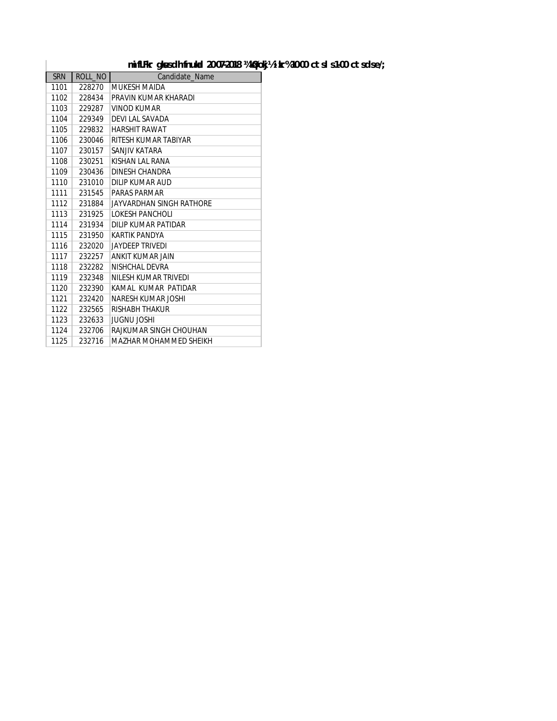#### mifLFkr gk sdh fnuk a 20-07-2018 ¼kØokj½ ikr% 10-00 ctsl s 1-00 ctsdse/;

| <b>SRN</b> | ROLL_NO | Candidate Name            |
|------------|---------|---------------------------|
| 1101       | 228270  | MUKESH MAIDA              |
| 1102       | 228434  | PRAVIN KUMAR KHARADI      |
| 1103       | 229287  | <b>VINOD KUMAR</b>        |
| 1104       | 229349  | DEVI LAL SAVADA           |
| 1105       | 229832  | <b>HARSHIT RAWAT</b>      |
| 1106       | 230046  | RITESH KUMAR TABIYAR      |
| 1107       | 230157  | SANJIV KATARA             |
| 1108       | 230251  | KISHAN LAL RANA           |
| 1109       | 230436  | DINESH CHANDRA            |
| 1110       | 231010  | DILIP KUMAR AUD           |
| 1111       | 231545  | <b>PARAS PARMAR</b>       |
| 1112       | 231884  | JAYVARDHAN SINGH RATHORE  |
| 1113       | 231925  | LOKESH PANCHOLI           |
| 1114       | 231934  | DILIP KUMAR PATIDAR       |
| 1115       | 231950  | <b>KARTIK PANDYA</b>      |
| 1116       | 232020  | JAYDEEP TRIVEDI           |
| 1117       | 232257  | ANKIT KUMAR JAIN          |
| 1118       | 232282  | NISHCHAL DEVRA            |
| 1119       | 232348  | NILESH KUMAR TRIVEDI      |
| 1120       | 232390  | KAMAL KUMAR PATIDAR       |
| 1121       | 232420  | <b>NARESH KUMAR JOSHI</b> |
| 1122       | 232565  | RISHABH THAKUR            |
| 1123       | 232633  | JUGNU JOSHI               |
| 1124       | 232706  | RAJKUMAR SINGH CHOUHAN    |
| 1125       | 232716  | MAZHAR MOHAMMED SHEIKH    |

 $\overline{\phantom{a}}$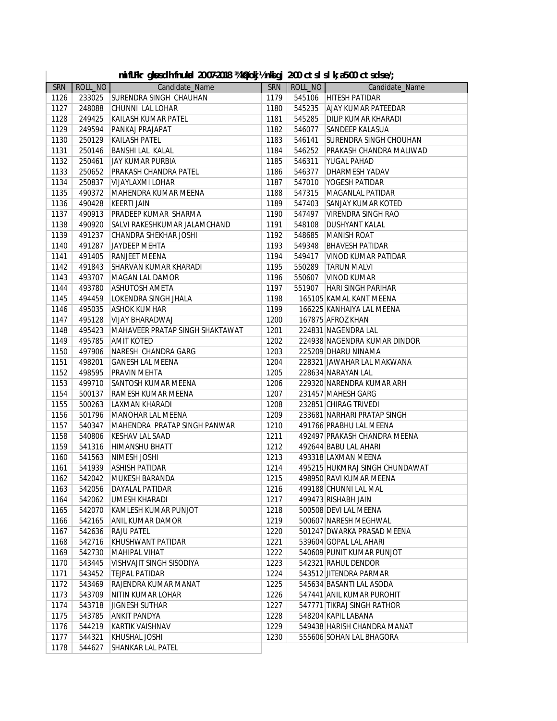|            |         | mifLFkr gkusdh fnukal 20-07-2018 ¼kØokj½nkigj 2-00 ctslslk;a5-00 ctsdse/; |            |         |                                |
|------------|---------|---------------------------------------------------------------------------|------------|---------|--------------------------------|
| <b>SRN</b> | ROLL_NO | Candidate_Name                                                            | <b>SRN</b> | ROLL_NO | Candidate_Name                 |
| 1126       | 233025  | <b>SURENDRA SINGH CHAUHAN</b>                                             | 1179       |         | 545106 HITESH PATIDAR          |
| 1127       | 248088  | CHUNNI LAL LOHAR                                                          | 1180       |         | 545235 AJAY KUMAR PATEEDAR     |
| 1128       | 249425  | KAILASH KUMAR PATEL                                                       | 1181       |         | 545285 DILIP KUMAR KHARADI     |
| 1129       | 249594  | PANKAJ PRAJAPAT                                                           | 1182       | 546077  | <b>SANDEEP KALASUA</b>         |
| 1130       | 250129  | KAILASH PATEL                                                             | 1183       | 546141  | <b>SURENDRA SINGH CHOUHAN</b>  |
| 1131       | 250146  | <b>BANSHI LAL KALAL</b>                                                   | 1184       | 546252  | <b>PRAKASH CHANDRA MALIWAD</b> |
| 1132       | 250461  | <b>JAY KUMAR PURBIA</b>                                                   | 1185       | 546311  | <b>YUGAL PAHAD</b>             |
| 1133       | 250652  | <b>PRAKASH CHANDRA PATEL</b>                                              | 1186       | 546377  | <b>DHARMESH YADAV</b>          |
| 1134       | 250837  | VIJAYLAXMI LOHAR                                                          | 1187       |         | 547010 YOGESH PATIDAR          |
| 1135       | 490372  | MAHENDRA KUMAR MEENA                                                      | 1188       |         | 547315   MAGANLAL PATIDAR      |
| 1136       | 490428  | <b>KEERTI JAIN</b>                                                        | 1189       | 547403  | <b>SANJAY KUMAR KOTED</b>      |
| 1137       | 490913  | PRADEEP KUMAR SHARMA                                                      | 1190       | 547497  | VIRENDRA SINGH RAO             |
| 1138       | 490920  | SALVI RAKESHKUMAR JALAMCHAND                                              | 1191       | 548108  | <b>DUSHYANT KALAL</b>          |
| 1139       | 491237  | CHANDRA SHEKHAR JOSHI                                                     | 1192       | 548685  | MANISH ROAT                    |
| 1140       | 491287  | JAYDEEP MEHTA                                                             | 1193       | 549348  | <b>BHAVESH PATIDAR</b>         |
| 1141       | 491405  | <b>RANJEET MEENA</b>                                                      | 1194       | 549417  | VINOD KUMAR PATIDAR            |
| 1142       | 491843  | SHARVAN KUMAR KHARADI                                                     | 1195       | 550289  | <b>TARUN MALVI</b>             |
| 1143       | 493707  | MAGAN LAL DAMOR                                                           | 1196       |         | 550607   VINOD KUMAR           |
| 1144       | 493780  | <b>ASHUTOSH AMETA</b>                                                     | 1197       |         | 551907   HARI SINGH PARIHAR    |
| 1145       | 494459  | LOKENDRA SINGH JHALA                                                      | 1198       |         | 165105 KAMAL KANT MEENA        |
| 1146       | 495035  | <b>ASHOK KUMHAR</b>                                                       | 1199       |         | 166225 KANHAIYA LAL MEENA      |
| 1147       | 495128  | <b>VIJAY BHARADWAJ</b>                                                    | 1200       |         | 167875 AFROZ KHAN              |
| 1148       | 495423  | MAHAVEER PRATAP SINGH SHAKTAWAT                                           | 1201       |         | 224831 NAGENDRA LAL            |
| 1149       | 495785  | <b>AMIT KOTED</b>                                                         | 1202       |         | 224938 NAGENDRA KUMAR DINDOR   |
| 1150       | 497906  | NARESH CHANDRA GARG                                                       | 1203       |         | 225209 DHARU NINAMA            |
| 1151       | 498201  | <b>GANESH LAL MEENA</b>                                                   | 1204       |         | 228321 JAWAHAR LAL MAKWANA     |
| 1152       | 498595  | <b>PRAVIN MEHTA</b>                                                       | 1205       |         | 228634 NARAYAN LAL             |
| 1153       | 499710  | SANTOSH KUMAR MEENA                                                       | 1206       |         | 229320 NARENDRA KUMAR ARH      |
| 1154       | 500137  | <b>RAMESH KUMAR MEENA</b>                                                 | 1207       |         | 231457 MAHESH GARG             |
| 1155       | 500263  | LAXMAN KHARADI                                                            | 1208       |         | 232851 CHIRAG TRIVEDI          |
| 1156       | 501796  | MANOHAR LAL MEENA                                                         | 1209       |         | 233681 NARHARI PRATAP SINGH    |
| 1157       | 540347  | MAHENDRA PRATAP SINGH PANWAR                                              | 1210       |         | 491766 PRABHU LAL MEENA        |
| 1158       | 540806  | <b>KESHAV LAL SAAD</b>                                                    | 1211       |         | 492497 PRAKASH CHANDRA MEENA   |
| 1159       | 541316  | HIMANSHU BHATT                                                            | 1212       |         | 492644 BABU LAL AHARI          |
| 1160       | 541563  | NIMESH JOSHI                                                              | 1213       |         | 493318 LAXMAN MEENA            |
| 1161       | 541939  | <b>ASHISH PATIDAR</b>                                                     | 1214       |         | 495215 HUKMRAJ SINGH CHUNDAWAT |
| 1162       | 542042  | MUKESH BARANDA                                                            | 1215       |         | 498950 RAVI KUMAR MEENA        |
| 1163       | 542056  | DAYALAL PATIDAR                                                           | 1216       |         | 499188 CHUNNI LAL MAL          |
| 1164       | 542062  | <b>UMESH KHARADI</b>                                                      | 1217       |         | 499473 RISHABH JAIN            |
| 1165       | 542070  | KAMLESH KUMAR PUNJOT                                                      | 1218       |         | 500508 DEVI LAL MEENA          |
| 1166       | 542165  | ANIL KUMAR DAMOR                                                          | 1219       |         | 500607 NARESH MEGHWAL          |
| 1167       | 542636  | <b>RAJU PATEL</b>                                                         | 1220       |         | 501247 DWARKA PRASAD MEENA     |
| 1168       | 542716  | KHUSHWANT PATIDAR                                                         | 1221       |         | 539604 GOPAL LAL AHARI         |
| 1169       | 542730  | <b>MAHIPAL VIHAT</b>                                                      | 1222       |         | 540609 PUNIT KUMAR PUNJOT      |
| 1170       | 543445  | VISHVAJIT SINGH SISODIYA                                                  | 1223       |         | 542321 RAHUL DENDOR            |
| 1171       | 543452  | <b>TEJPAL PATIDAR</b>                                                     | 1224       |         | 543512 JITENDRA PARMAR         |
| 1172       | 543469  | RAJENDRA KUMAR MANAT                                                      | 1225       |         | 545634 BASANTI LAL ASODA       |
| 1173       | 543709  | NITIN KUMAR LOHAR                                                         | 1226       |         | 547441 ANIL KUMAR PUROHIT      |
| 1174       | 543718  | <b>JIGNESH SUTHAR</b>                                                     | 1227       |         | 547771 TIKRAJ SINGH RATHOR     |
| 1175       | 543785  | <b>ANKIT PANDYA</b>                                                       | 1228       |         | 548204 KAPIL LABANA            |
| 1176       | 544219  | <b>KARTIK VAISHNAV</b>                                                    | 1229       |         | 549438 HARISH CHANDRA MANAT    |
| 1177       | 544321  | KHUSHAL JOSHI                                                             | 1230       |         | 555606 SOHAN LAL BHAGORA       |
| 1178       | 544627  | <b>SHANKAR LAL PATEL</b>                                                  |            |         |                                |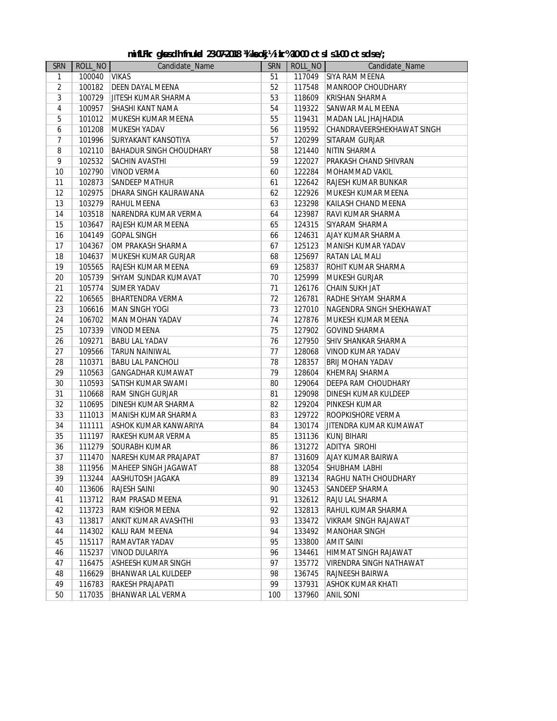| <b>SRN</b>     | ROLL_NO | Candidate_Name                 | <b>SRN</b> | ROLL_NO | Candidate_Name                 |
|----------------|---------|--------------------------------|------------|---------|--------------------------------|
| $\mathbf{1}$   | 100040  | <b>VIKAS</b>                   | 51         | 117049  | <b>SIYA RAM MEENA</b>          |
| $\overline{2}$ | 100182  | <b>DEEN DAYAL MEENA</b>        | 52         | 117548  | MANROOP CHOUDHARY              |
| 3              | 100729  | JITESH KUMAR SHARMA            | 53         | 118609  | <b>KRISHAN SHARMA</b>          |
| $\overline{4}$ | 100957  | SHASHI KANT NAMA               | 54         | 119322  | <b>SANWAR MAL MEENA</b>        |
| 5              | 101012  | MUKESH KUMAR MEENA             | 55         | 119431  | MADAN LAL JHAJHADIA            |
| 6              | 101208  | MUKESH YADAV                   | 56         | 119592  | CHANDRAVEERSHEKHAWAT SINGH     |
| $\overline{7}$ | 101996  | SURYAKANT KANSOTIYA            | 57         | 120299  | <b>SITARAM GURJAR</b>          |
| 8              | 102110  | <b>BAHADUR SINGH CHOUDHARY</b> | 58         | 121440  | NITIN SHARMA                   |
| 9              | 102532  | <b>SACHIN AVASTHI</b>          | 59         | 122027  | PRAKASH CHAND SHIVRAN          |
| 10             | 102790  | <b>VINOD VERMA</b>             | 60         | 122284  | MOHAMMAD VAKIL                 |
| 11             | 102873  | <b>SANDEEP MATHUR</b>          | 61         | 122642  | RAJESH KUMAR BUNKAR            |
| 12             | 102975  | DHARA SINGH KALIRAWANA         | 62         | 122926  | MUKESH KUMAR MEENA             |
| 13             | 103279  | <b>RAHUL MEENA</b>             | 63         | 123298  | KAILASH CHAND MEENA            |
| 14             | 103518  | NARENDRA KUMAR VERMA           | 64         | 123987  | RAVI KUMAR SHARMA              |
| 15             | 103647  | RAJESH KUMAR MEENA             | 65         | 124315  | SIYARAM SHARMA                 |
| 16             | 104149  | <b>GOPAL SINGH</b>             | 66         | 124631  | AJAY KUMAR SHARMA              |
| 17             | 104367  | OM PRAKASH SHARMA              | 67         | 125123  | MANISH KUMAR YADAV             |
| 18             | 104637  | MUKESH KUMAR GURJAR            | 68         | 125697  | <b>RATAN LAL MALI</b>          |
| 19             | 105565  | RAJESH KUMAR MEENA             | 69         | 125837  | ROHIT KUMAR SHARMA             |
| 20             | 105739  | SHYAM SUNDAR KUMAVAT           | 70         | 125999  | <b>MUKESH GURJAR</b>           |
| 21             | 105774  | <b>SUMER YADAV</b>             | 71         | 126176  | CHAIN SUKH JAT                 |
| 22             | 106565  | <b>BHARTENDRA VERMA</b>        | 72         | 126781  | RADHE SHYAM SHARMA             |
| 23             | 106616  | <b>MAN SINGH YOGI</b>          | 73         | 127010  | NAGENDRA SINGH SHEKHAWAT       |
| 24             | 106702  | MAN MOHAN YADAV                | 74         | 127876  | MUKESH KUMAR MEENA             |
| 25             | 107339  | <b>VINOD MEENA</b>             | 75         | 127902  | <b>GOVIND SHARMA</b>           |
| 26             | 109271  | <b>BABU LAL YADAV</b>          | 76         | 127950  | <b>SHIV SHANKAR SHARMA</b>     |
| 27             | 109566  | <b>TARUN NAINIWAL</b>          | 77         | 128068  | <b>VINOD KUMAR YADAV</b>       |
| 28             | 110371  | <b>BABU LAL PANCHOLI</b>       | 78         | 128357  | <b>BRIJ MOHAN YADAV</b>        |
| 29             | 110563  | <b>GANGADHAR KUMAWAT</b>       | 79         | 128604  | KHEMRAJ SHARMA                 |
| 30             | 110593  | SATISH KUMAR SWAMI             | 80         | 129064  | DEEPA RAM CHOUDHARY            |
| 31             | 110668  | <b>RAM SINGH GURJAR</b>        | 81         | 129098  | DINESH KUMAR KULDEEP           |
| 32             | 110695  | DINESH KUMAR SHARMA            | 82         | 129204  | <b>PINKESH KUMAR</b>           |
| 33             | 111013  | MANISH KUMAR SHARMA            | 83         | 129722  | ROOPKISHORE VERMA              |
| 34             | 111111  | ASHOK KUMAR KANWARIYA          | 84         | 130174  | JITENDRA KUMAR KUMAWAT         |
| 35             | 111197  | <b>RAKESH KUMAR VERMA</b>      | 85         | 131136  | KUNJ BIHARI                    |
| 36             | 111279  | <b>SOURABH KUMAR</b>           | 86         | 131272  | ADITYA SIROHI                  |
| 37             | 111470  | NARESH KUMAR PRAJAPAT          | 87         | 131609  | <b>AJAY KUMAR BAIRWA</b>       |
| 38             | 111956  | MAHEEP SINGH JAGAWAT           | 88         | 132054  | SHUBHAM LABHI                  |
| 39             | 113244  | AASHUTOSH JAGAKA               | 89         | 132134  | RAGHU NATH CHOUDHARY           |
| 40             | 113606  | <b>RAJESH SAINI</b>            | 90         | 132453  | <b>SANDEEP SHARMA</b>          |
| 41             | 113712  | <b>RAM PRASAD MEENA</b>        | 91         | 132612  | <b>RAJU LAL SHARMA</b>         |
| 42             | 113723  | RAM KISHOR MEENA               | 92         | 132813  | RAHUL KUMAR SHARMA             |
| 43             | 113817  | ANKIT KUMAR AVASHTHI           | 93         | 133472  | <b>VIKRAM SINGH RAJAWAT</b>    |
| 44             | 114302  | KALU RAM MEENA                 | 94         | 133492  | MANOHAR SINGH                  |
| 45             | 115117  | <b>RAMAVTAR YADAV</b>          | 95         | 133800  | <b>AMIT SAINI</b>              |
| 46             | 115237  | <b>VINOD DULARIYA</b>          | 96         | 134461  | HIMMAT SINGH RAJAWAT           |
| 47             | 116475  | <b>ASHEESH KUMAR SINGH</b>     | 97         | 135772  | <b>VIRENDRA SINGH NATHAWAT</b> |
| 48             | 116629  | <b>BHANWAR LAL KULDEEP</b>     | 98         | 136745  | <b>RAJNEESH BAIRWA</b>         |
| 49             | 116783  | <b>RAKESH PRAJAPATI</b>        | 99         | 137931  | ASHOK KUMAR KHATI              |
| 50             | 117035  | <b>BHANWAR LAL VERMA</b>       | 100        | 137960  | <b>ANIL SONI</b>               |

#### mifLFkr gkssdh fnukal 23-07-2018 ¼ keokj½ ikr% 10-00 ctsl s 1-00 ctsdse/;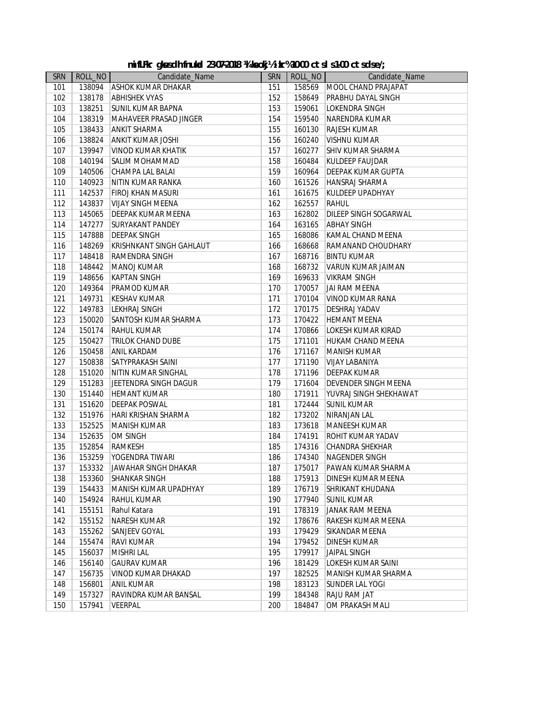|  | mifLFkr gkasdh fnukal 23-07-2018 ¼ keokj½ikr%10-00 ctsls1-00 ctsdse/; |  |  |  |  |  |  |  |
|--|-----------------------------------------------------------------------|--|--|--|--|--|--|--|
|--|-----------------------------------------------------------------------|--|--|--|--|--|--|--|

|            | mifLFkr gkusdh fnukal 23-07-2018 14 keokj½ ikr%10-00 ctsls1-00 ctsdse/; |                                   |     |         |                                    |  |  |  |  |
|------------|-------------------------------------------------------------------------|-----------------------------------|-----|---------|------------------------------------|--|--|--|--|
| <b>SRN</b> | ROLL_NO                                                                 | Candidate_Name                    | SRN | ROLL_NO | Candidate_Name                     |  |  |  |  |
| 101        | 138094                                                                  | <b>ASHOK KUMAR DHAKAR</b>         | 151 | 158569  | MOOL CHAND PRAJAPAT                |  |  |  |  |
| 102        | 138178                                                                  | <b>ABHISHEK VYAS</b>              | 152 | 158649  | PRABHU DAYAL SINGH                 |  |  |  |  |
| 103        | 138251                                                                  | <b>SUNIL KUMAR BAPNA</b>          | 153 | 159061  | LOKENDRA SINGH                     |  |  |  |  |
| 104        | 138319                                                                  | MAHAVEER PRASAD JINGER            | 154 | 159540  | NARENDRA KUMAR                     |  |  |  |  |
| 105        | 138433                                                                  | <b>ANKIT SHARMA</b>               | 155 | 160130  | <b>RAJESH KUMAR</b>                |  |  |  |  |
| 106        | 138824                                                                  | ANKIT KUMAR JOSHI                 | 156 | 160240  | VISHNU KUMAR                       |  |  |  |  |
| 107        | 139947                                                                  | VINOD KUMAR KHATIK                | 157 | 160277  | <b>SHIV KUMAR SHARMA</b>           |  |  |  |  |
| 108        | 140194                                                                  | <b>SALIM MOHAMMAD</b>             | 158 | 160484  | <b>KULDEEP FAUJDAR</b>             |  |  |  |  |
| 109        | 140506                                                                  | CHAMPA LAL BALAI                  | 159 | 160964  | <b>DEEPAK KUMAR GUPTA</b>          |  |  |  |  |
| 110        | 140923                                                                  | NITIN KUMAR RANKA                 | 160 | 161526  | HANSRAJ SHARMA                     |  |  |  |  |
| 111        | 142537                                                                  | <b>FIROJ KHAN MASURI</b>          | 161 | 161675  | KULDEEP UPADHYAY                   |  |  |  |  |
| 112        | 143837                                                                  | <b>VIJAY SINGH MEENA</b>          | 162 | 162557  | <b>RAHUL</b>                       |  |  |  |  |
| 113        | 145065                                                                  | <b>DEEPAK KUMAR MEENA</b>         | 163 | 162802  | DILEEP SINGH SOGARWAL              |  |  |  |  |
| 114        | 147277                                                                  | <b>SURYAKANT PANDEY</b>           | 164 | 163165  | <b>ABHAY SINGH</b>                 |  |  |  |  |
| 115        | 147888                                                                  | <b>DEEPAK SINGH</b>               | 165 | 168086  | KAMAL CHAND MEENA                  |  |  |  |  |
| 116        | 148269                                                                  | <b>KRISHNKANT SINGH GAHLAUT</b>   | 166 | 168668  | RAMANAND CHOUDHARY                 |  |  |  |  |
| 117        | 148418                                                                  | <b>RAMENDRA SINGH</b>             | 167 | 168716  | <b>BINTU KUMAR</b>                 |  |  |  |  |
| 118        | 148442                                                                  | <b>MANOJ KUMAR</b>                | 168 | 168732  | VARUN KUMAR JAIMAN                 |  |  |  |  |
| 119        | 148656                                                                  | <b>KAPTAN SINGH</b>               | 169 | 169633  | <b>VIKRAM SINGH</b>                |  |  |  |  |
| 120        | 149364                                                                  | <b>PRAMOD KUMAR</b>               | 170 | 170057  | <b>JAI RAM MEENA</b>               |  |  |  |  |
| 121        | 149731                                                                  | <b>KESHAV KUMAR</b>               | 171 | 170104  | VINOD KUMAR RANA                   |  |  |  |  |
| 122        | 149783                                                                  | <b>LEKHRAJ SINGH</b>              | 172 | 170175  | <b>DESHRAJ YADAV</b>               |  |  |  |  |
| 123        | 150020                                                                  | <b>SANTOSH KUMAR SHARMA</b>       | 173 | 170422  | <b>HEMANT MEENA</b>                |  |  |  |  |
| 124        | 150174                                                                  | <b>RAHUL KUMAR</b>                | 174 | 170866  | LOKESH KUMAR KIRAD                 |  |  |  |  |
| 125        | 150427                                                                  | <b>TRILOK CHAND DUBE</b>          | 175 | 171101  | HUKAM CHAND MEENA                  |  |  |  |  |
| 126        | 150458                                                                  | <b>ANIL KARDAM</b>                | 176 | 171167  | MANISH KUMAR                       |  |  |  |  |
| 127        | 150838                                                                  | SATYPRAKASH SAINI                 | 177 | 171190  | VIJAY LABANIYA                     |  |  |  |  |
| 128        | 151020                                                                  | NITIN KUMAR SINGHAL               | 178 | 171196  | <b>DEEPAK KUMAR</b>                |  |  |  |  |
| 129        | 151283                                                                  | JEETENDRA SINGH DAGUR             | 179 | 171604  | DEVENDER SINGH MEENA               |  |  |  |  |
| 130        | 151440                                                                  | <b>HEMANT KUMAR</b>               | 180 | 171911  | YUVRAJ SINGH SHEKHAWAT             |  |  |  |  |
| 131        | 151620                                                                  | <b>DEEPAK POSWAL</b>              | 181 | 172444  | <b>SUNIL KUMAR</b>                 |  |  |  |  |
| 132        | 151976                                                                  | <b>HARI KRISHAN SHARMA</b>        | 182 | 173202  | NIRANJAN LAL                       |  |  |  |  |
|            | 152525                                                                  | <b>MANISH KUMAR</b>               | 183 | 173618  |                                    |  |  |  |  |
| 133<br>134 |                                                                         | <b>OM SINGH</b>                   | 184 | 174191  | MANEESH KUMAR<br>ROHIT KUMAR YADAV |  |  |  |  |
| 135        | 152635<br>152854                                                        |                                   | 185 |         | <b>CHANDRA SHEKHAR</b>             |  |  |  |  |
| 136        | 153259                                                                  | <b>RAMKESH</b><br>YOGENDRA TIWARI | 186 | 174316  | <b>NAGENDER SINGH</b>              |  |  |  |  |
|            |                                                                         |                                   |     | 174340  |                                    |  |  |  |  |
| 137        | 153332                                                                  | JAWAHAR SINGH DHAKAR              | 187 | 175017  | PAWAN KUMAR SHARMA                 |  |  |  |  |
| 138        | 153360                                                                  | <b>SHANKAR SINGH</b>              | 188 | 175913  | DINESH KUMAR MEENA                 |  |  |  |  |
| 139        | 154433                                                                  | MANISH KUMAR UPADHYAY             | 189 | 176719  | SHRIKANT KHUDANA                   |  |  |  |  |
| 140        | 154924                                                                  | <b>RAHUL KUMAR</b>                | 190 | 177940  | <b>SUNIL KUMAR</b>                 |  |  |  |  |
| 141        | 155151                                                                  | Rahul Katara                      | 191 | 178319  | JANAK RAM MEENA                    |  |  |  |  |
| 142        | 155152                                                                  | <b>NARESH KUMAR</b>               | 192 | 178676  | RAKESH KUMAR MEENA                 |  |  |  |  |
| 143        | 155262                                                                  | <b>SANJEEV GOYAL</b>              | 193 | 179429  | SIKANDAR MEENA                     |  |  |  |  |
| 144        | 155474                                                                  | <b>RAVI KUMAR</b>                 | 194 | 179452  | <b>DINESH KUMAR</b>                |  |  |  |  |
| 145        | 156037                                                                  | <b>MISHRI LAL</b>                 | 195 | 179917  | JAIPAL SINGH                       |  |  |  |  |
| 146        | 156140                                                                  | <b>GAURAV KUMAR</b>               | 196 | 181429  | LOKESH KUMAR SAINI                 |  |  |  |  |
| 147        | 156735                                                                  | VINOD KUMAR DHAKAD                | 197 | 182525  | MANISH KUMAR SHARMA                |  |  |  |  |
| 148        | 156801                                                                  | <b>ANIL KUMAR</b>                 | 198 | 183123  | <b>SUNDER LAL YOGI</b>             |  |  |  |  |
| 149        | 157327                                                                  | RAVINDRA KUMAR BANSAL             | 199 | 184348  | <b>RAJU RAM JAT</b>                |  |  |  |  |
| 150        | 157941                                                                  | <b>VEERPAL</b>                    | 200 | 184847  | OM PRAKASH MALI                    |  |  |  |  |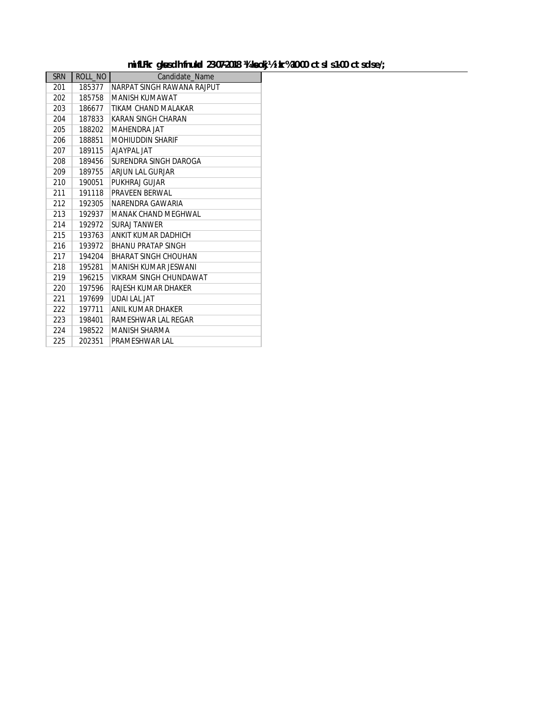#### mifLFkr gk sdh fnukd 23-07-2018 ¼ keokj½ ikr% 10-00 ctsl s 1-00 ctsdse/;

| <b>SRN</b> | ROLL NO | Candidate Name              |
|------------|---------|-----------------------------|
| 201        | 185377  | NARPAT SINGH RAWANA RAJPUT  |
| 202        | 185758  | MANISH KUMAWAT              |
| 203        | 186677  | TIKAM CHAND MAI AKAR        |
| 204        | 187833  | KARAN SINGH CHARAN          |
| 205        | 188202  | <b>MAHENDRA JAT</b>         |
| 206        | 188851  | <b>MOHIUDDIN SHARIF</b>     |
| 207        | 189115  | AIAYPAI IAT                 |
| 208        | 189456  | SURENDRA SINGH DAROGA       |
| 209        | 189755  | ARJUN LAL GURJAR            |
| 210        | 190051  | PUKHRAJ GUJAR               |
| 211        | 191118  | PRAVEEN BERWAL              |
| 212        | 192305  | NARFNDRA GAWARIA            |
| 213        | 192937  | <b>MANAK CHAND MEGHWAL</b>  |
| 214        | 192972  | <b>SURAL TANWER</b>         |
| 215        | 193763  | ANKIT KUMAR DADHICH         |
| 216        | 193972  | <b>BHANU PRATAP SINGH</b>   |
| 217        | 194204  | <b>BHARAT SINGH CHOUHAN</b> |
| 218        | 195281  | MANISH KUMAR JESWANI        |
| 219        | 196215  | VIKRAM SINGH CHUNDAWAT      |
| 220        | 197596  | RAJESH KUMAR DHAKER         |
| 221        | 197699  | UDALLAL JAT                 |
| 222        | 197711  | ANIL KUMAR DHAKER           |
| 223        | 198401  | RAMESHWAR LAL REGAR         |
| 224        | 198522  | <b>MANISH SHARMA</b>        |
| 225        | 202351  | PRAMESHWAR LAL              |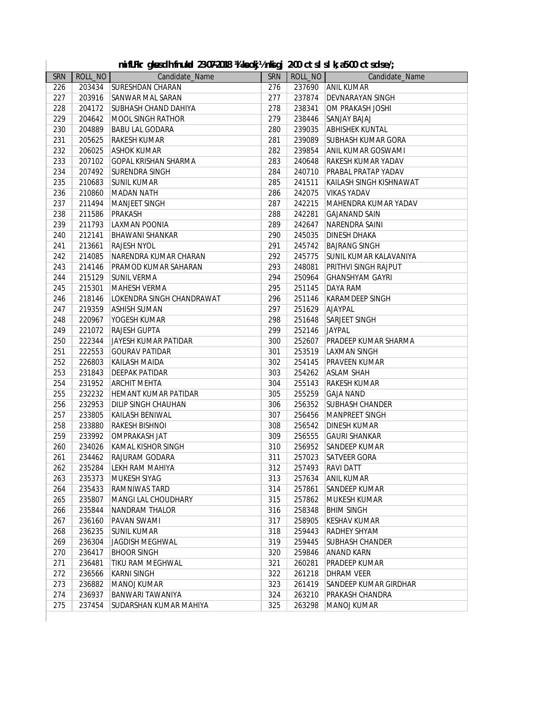|  |  |  | mifLFkr gkusch fnukal 23-07-2018 ¼ keokj½ nkigj 2-00 ctsl sl k;a5-00 ctsclse/; |  |  |  |  |
|--|--|--|--------------------------------------------------------------------------------|--|--|--|--|
|--|--|--|--------------------------------------------------------------------------------|--|--|--|--|

|            |                  | mifLFkr gkusdh fnukal 23-07-2018 ¼ keokj½nkigj 2-00 ctsl sl k; a5-00 ctsdse/; |            |                  |                             |
|------------|------------------|-------------------------------------------------------------------------------|------------|------------------|-----------------------------|
| <b>SRN</b> | ROLL_NO          | Candidate_Name                                                                | <b>SRN</b> | ROLL_NO          | Candidate_Name              |
| 226        | 203434           | <b>SURESHDAN CHARAN</b>                                                       | 276        | 237690           | <b>ANIL KUMAR</b>           |
| 227        | 203916           | <b>SANWAR MAL SARAN</b>                                                       | 277        | 237874           | <b>DEVNARAYAN SINGH</b>     |
| 228        | 204172           | <b>SUBHASH CHAND DAHIYA</b>                                                   | 278        | 238341           | OM PRAKASH JOSHI            |
| 229        | 204642           | MOOL SINGH RATHOR                                                             | 279        | 238446           | <b>SANJAY BAJAJ</b>         |
| 230        | 204889           | <b>BABU LAL GODARA</b>                                                        | 280        | 239035           | <b>ABHISHEK KUNTAL</b>      |
| 231        | 205625           | <b>RAKESH KUMAR</b>                                                           | 281        | 239089           | <b>SUBHASH KUMAR GORA</b>   |
| 232        | 206025           | <b>ASHOK KUMAR</b>                                                            | 282        | 239854           | ANIL KUMAR GOSWAMI          |
| 233        | 207102           | <b>GOPAL KRISHAN SHARMA</b>                                                   | 283        | 240648           | <b>RAKESH KUMAR YADAV</b>   |
| 234        | 207492           | <b>SURENDRA SINGH</b>                                                         | 284        | 240710           | <b>PRABAL PRATAP YADAV</b>  |
| 235        | 210683           | <b>SUNIL KUMAR</b>                                                            | 285        | 241511           | KAILASH SINGH KISHNAWAT     |
| 236        | 210860           | <b>MADAN NATH</b>                                                             | 286        | 242075           | <b>VIKAS YADAV</b>          |
| 237        | 211494           | MANJEET SINGH                                                                 | 287        | 242215           | MAHENDRA KUMAR YADAV        |
| 238        | 211586           | PRAKASH                                                                       | 288        | 242281           | <b>GAJANAND SAIN</b>        |
| 239        | 211793           | LAXMAN POONIA                                                                 | 289        | 242647           | NARENDRA SAINI              |
| 240        | 212141           | <b>BHAWANI SHANKAR</b>                                                        | 290        | 245035           | <b>DINESH DHAKA</b>         |
| 241        | 213661           | <b>RAJESH NYOL</b>                                                            | 291        | 245742           | <b>BAJRANG SINGH</b>        |
| 242        | 214085           | NARENDRA KUMAR CHARAN                                                         | 292        | 245775           | SUNIL KUMAR KALAVANIYA      |
| 243        | 214146           | <b>PRAMOD KUMAR SAHARAN</b>                                                   | 293        | 248081           | <b>PRITHVI SINGH RAJPUT</b> |
| 244        | 215129           | <b>SUNIL VERMA</b>                                                            | 294        | 250964           | <b>GHANSHYAM GAYRI</b>      |
| 245        | 215301           | MAHESH VERMA                                                                  | 295        | 251145           | <b>DAYA RAM</b>             |
| 246        | 218146           | LOKENDRA SINGH CHANDRAWAT                                                     | 296        | 251146           | <b>KARAMDEEP SINGH</b>      |
| 247        | 219359           | <b>ASHISH SUMAN</b>                                                           | 297        | 251629           | <b>AJAYPAL</b>              |
| 248        | 220967           | YOGESH KUMAR                                                                  | 298        | 251648           | <b>SARJEET SINGH</b>        |
| 249        | 221072           | <b>RAJESH GUPTA</b>                                                           | 299        | 252146           | <b>JAYPAL</b>               |
| 250        | 222344           | JAYESH KUMAR PATIDAR                                                          | 300        | 252607           | <b>PRADEEP KUMAR SHARMA</b> |
| 251        | 222553           | <b>GOURAV PATIDAR</b>                                                         | 301        | 253519           | <b>LAXMAN SINGH</b>         |
| 252        | 226803           | KAILASH MAIDA                                                                 | 302        | 254145           | <b>PRAVEEN KUMAR</b>        |
| 253        | 231843           | <b>DEEPAK PATIDAR</b>                                                         | 303        | 254262           | <b>ASLAM SHAH</b>           |
| 254        | 231952           | <b>ARCHIT MEHTA</b>                                                           | 304        | 255143           | <b>RAKESH KUMAR</b>         |
| 255        | 232232           | <b>HEMANT KUMAR PATIDAR</b>                                                   | 305        | 255259           | <b>GAJA NAND</b>            |
| 256        | 232953           | <b>DILIP SINGH CHAUHAN</b>                                                    | 306        | 256352           | <b>SUBHASH CHANDER</b>      |
| 257        | 233805           | <b>KAILASH BENIWAL</b>                                                        | 307        | 256456           | MANPREET SINGH              |
| 258        | 233880           | <b>RAKESH BISHNOI</b>                                                         | 308        | 256542           | <b>DINESH KUMAR</b>         |
| 259        | 233992           | OMPRAKASH JAT                                                                 | 309        | 256555           | <b>GAURI SHANKAR</b>        |
| 260        | 234026           | KAMAL KISHOR SINGH                                                            | 310        | 256952           | <b>SANDEEP KUMAR</b>        |
| 261        | 234462           | RAJURAM GODARA                                                                | 311        | 257023           | <b>SATVEER GORA</b>         |
| 262        | 235284           | LEKH RAM MAHIYA                                                               | 312        | 257493           | <b>RAVI DATT</b>            |
| 263        | 235373           | MUKESH SIYAG                                                                  | 313        | 257634           | <b>ANIL KUMAR</b>           |
| 264        | 235433           | RAMNIWAS TARD                                                                 | 314        | 257861           | <b>SANDEEP KUMAR</b>        |
| 265        | 235807           | <b>MANGI LAL CHOUDHARY</b>                                                    | 315        | 257862           | <b>MUKESH KUMAR</b>         |
| 266        | 235844           | NANDRAM THALOR                                                                | 316        | 258348           | <b>BHIM SINGH</b>           |
| 267        | 236160           | PAVAN SWAMI                                                                   | 317        | 258905           | <b>KESHAV KUMAR</b>         |
|            |                  | <b>SUNIL KUMAR</b>                                                            |            |                  | <b>RADHEY SHYAM</b>         |
| 268<br>269 | 236235           | JAGDISH MEGHWAL                                                               | 318        | 259443<br>259445 | <b>SUBHASH CHANDER</b>      |
| 270        | 236304<br>236417 |                                                                               | 319        |                  | <b>ANAND KARN</b>           |
|            |                  | <b>BHOOR SINGH</b>                                                            | 320        | 259846           |                             |
| 271        | 236481           | TIKU RAM MEGHWAL                                                              | 321        | 260281           | <b>PRADEEP KUMAR</b>        |
| 272        | 236566           | KARNI SINGH                                                                   | 322        | 261218           | <b>DHRAM VEER</b>           |
| 273        | 236882           | MANOJ KUMAR                                                                   | 323        | 261419           | SANDEEP KUMAR GIRDHAR       |
| 274        | 236937           | <b>BANWARI TAWANIYA</b>                                                       | 324        | 263210           | PRAKASH CHANDRA             |
| 275        | 237454           | SUDARSHAN KUMAR MAHIYA                                                        | 325        | 263298           | MANOJ KUMAR                 |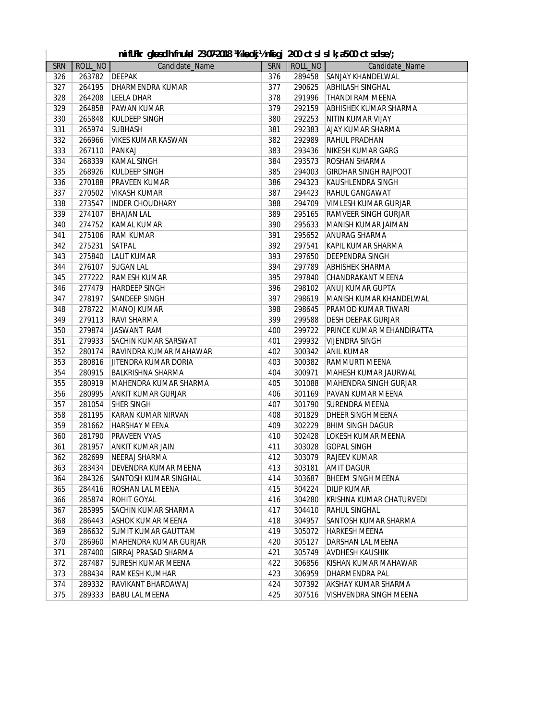|            |         | mifLFkr gkusdh fnukud 23-07-2018 ¼ keokj½nkigj 2-00 ctsl sl k; a5-00 ctsdse/; |                  |                  |                              |
|------------|---------|-------------------------------------------------------------------------------|------------------|------------------|------------------------------|
| <b>SRN</b> | ROLL_NO | Candidate_Name                                                                | <b>SRN</b>       | ROLL_NO          | Candidate_Name               |
| 326        | 263782  | <b>DEEPAK</b>                                                                 | $\overline{376}$ | 289458           | SANJAY KHANDELWAL            |
| 327        | 264195  | <b>DHARMENDRA KUMAR</b>                                                       | 377              | 290625           | <b>ABHILASH SINGHAL</b>      |
| 328        | 264208  | <b>LEELA DHAR</b>                                                             | 378              | 291996           | THANDI RAM MEENA             |
| 329        | 264858  | <b>PAWAN KUMAR</b>                                                            | 379              | 292159           | ABHISHEK KUMAR SHARMA        |
| 330        | 265848  | <b>KULDEEP SINGH</b>                                                          | 380              | 292253           | NITIN KUMAR VIJAY            |
| 331        | 265974  | <b>SUBHASH</b>                                                                | 381              | 292383           | AJAY KUMAR SHARMA            |
| 332        | 266966  | <b>VIKES KUMAR KASWAN</b>                                                     | 382              | 292989           | <b>RAHUL PRADHAN</b>         |
| 333        | 267110  | PANKAJ                                                                        | 383              | 293436           | NIKESH KUMAR GARG            |
| 334        | 268339  | <b>KAMAL SINGH</b>                                                            | 384              | 293573           | ROSHAN SHARMA                |
| 335        | 268926  | <b>KULDEEP SINGH</b>                                                          | 385              | 294003           | <b>GIRDHAR SINGH RAJPOOT</b> |
| 336        | 270188  | <b>PRAVEEN KUMAR</b>                                                          | 386              | 294323           | KAUSHLENDRA SINGH            |
| 337        | 270502  | VIKASH KUMAR                                                                  | 387              | 294423           | RAHUL GANGAWAT               |
| 338        | 273547  | <b>INDER CHOUDHARY</b>                                                        | 388              | 294709           | VIMLESH KUMAR GURJAR         |
| 339        | 274107  | <b>BHAJAN LAL</b>                                                             | 389              | 295165           | <b>RAMVEER SINGH GURJAR</b>  |
| 340        | 274752  | KAMAL KUMAR                                                                   | 390              | 295633           | MANISH KUMAR JAIMAN          |
| 341        | 275106  | <b>RAM KUMAR</b>                                                              | 391              | 295652           | ANURAG SHARMA                |
| 342        | 275231  | <b>SATPAL</b>                                                                 | 392              | 297541           | KAPIL KUMAR SHARMA           |
| 343        | 275840  | <b>LALIT KUMAR</b>                                                            | 393              | 297650           | <b>DEEPENDRA SINGH</b>       |
| 344        | 276107  | <b>SUGAN LAL</b>                                                              | 394              | 297789           | <b>ABHISHEK SHARMA</b>       |
| 345        | 277222  | <b>RAMESH KUMAR</b>                                                           | 395              | 297840           | CHANDRAKANT MEENA            |
| 346        | 277479  | <b>HARDEEP SINGH</b>                                                          | 396              | 298102           | ANUJ KUMAR GUPTA             |
| 347        | 278197  | <b>SANDEEP SINGH</b>                                                          | 397              | 298619           | MANISH KUMAR KHANDELWAL      |
| 348        | 278722  | <b>MANOJ KUMAR</b>                                                            | 398              | 298645           | PRAMOD KUMAR TIWARI          |
| 349        | 279113  | <b>RAVI SHARMA</b>                                                            | 399              | 299588           | <b>DESH DEEPAK GURJAR</b>    |
| 350        | 279874  | JASWANT RAM                                                                   | 400              | 299722           | PRINCE KUMAR MEHANDIRATTA    |
| 351        | 279933  | <b>SACHIN KUMAR SARSWAT</b>                                                   | 401              | 299932           | <b>VIJENDRA SINGH</b>        |
| 352        | 280174  | RAVINDRA KUMAR MAHAWAR                                                        | 402              | 300342           | <b>ANIL KUMAR</b>            |
| 353        | 280816  | JITENDRA KUMAR DORIA                                                          | 403              | 300382           | RAMMURTI MEENA               |
| 354        | 280915  | <b>BALKRISHNA SHARMA</b>                                                      | 404              | 300971           | MAHESH KUMAR JAURWAL         |
| 355        | 280919  | MAHENDRA KUMAR SHARMA                                                         | 405              | 301088           | MAHENDRA SINGH GURJAR        |
| 356        | 280995  |                                                                               | 406              | 301169           | PAVAN KUMAR MEENA            |
|            | 281054  | <b>ANKIT KUMAR GURJAR</b><br><b>SHER SINGH</b>                                | 407              |                  | <b>SURENDRA MEENA</b>        |
| 357<br>358 | 281195  | KARAN KUMAR NIRVAN                                                            | 408              | 301790<br>301829 | <b>DHEER SINGH MEENA</b>     |
|            |         |                                                                               |                  |                  | <b>BHIM SINGH DAGUR</b>      |
| 359        | 281662  | <b>HARSHAY MEENA</b>                                                          | 409              | 302229           |                              |
| 360        | 281790  | <b>PRAVEEN VYAS</b>                                                           | 410              | 302428           | LOKESH KUMAR MEENA           |
| 361        | 281957  | ANKIT KUMAR JAIN                                                              | 411              | 303028           | <b>GOPAL SINGH</b>           |
| 362        | 282699  | <b>NEERAJ SHARMA</b>                                                          | 412              | 303079           | <b>RAJEEV KUMAR</b>          |
| 363        | 283434  | <b>DEVENDRA KUMAR MEENA</b>                                                   | 413              | 303181           | AMIT DAGUR                   |
| 364        | 284326  | <b>SANTOSH KUMAR SINGHAL</b>                                                  | 414              | 303687           | <b>BHEEM SINGH MEENA</b>     |
| 365        | 284416  | ROSHAN LAL MEENA                                                              | 415              | 304224           | <b>DILIP KUMAR</b>           |
| 366        | 285874  | <b>ROHIT GOYAL</b>                                                            | 416              | 304280           | KRISHNA KUMAR CHATURVEDI     |
| 367        | 285995  | SACHIN KUMAR SHARMA                                                           | 417              | 304410           | RAHUL SINGHAL                |
| 368        | 286443  | <b>ASHOK KUMAR MEENA</b>                                                      | 418              | 304957           | SANTOSH KUMAR SHARMA         |
| 369        | 286632  | <b>SUMIT KUMAR GAUTTAM</b>                                                    | 419              | 305072           | <b>HARKESH MEENA</b>         |
| 370        | 286960  | MAHENDRA KUMAR GURJAR                                                         | 420              | 305127           | DARSHAN LAL MEENA            |
| 371        | 287400  | <b>GIRRAJ PRASAD SHARMA</b>                                                   | 421              | 305749           | <b>AVDHESH KAUSHIK</b>       |
| 372        | 287487  | <b>SURESH KUMAR MEENA</b>                                                     | 422              | 306856           | KISHAN KUMAR MAHAWAR         |
| 373        | 288434  | RAMKESH KUMHAR                                                                | 423              | 306959           | DHARMENDRA PAL               |
| 374        | 289332  | RAVIKANT BHARDAWAJ                                                            | 424              | 307392           | AKSHAY KUMAR SHARMA          |
| 375        | 289333  | <b>BABU LAL MEENA</b>                                                         | 425              | 307516           | VISHVENDRA SINGH MEENA       |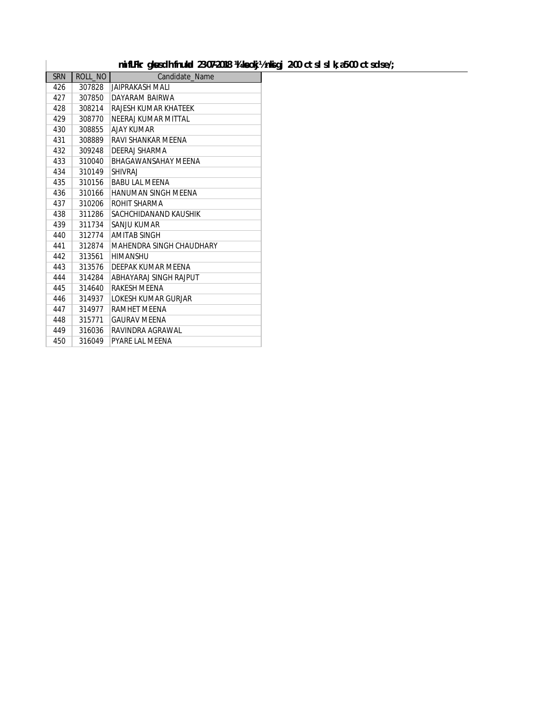### mifLFkr gk sdh fnukad 23-07-2018 ¼ keokj½ nkigj 2-00 ctslslk; a 5-00 ctsdse/;

|            |         | mifLFkr gkusch fnukal 23-07-2018 %1 keokj |
|------------|---------|-------------------------------------------|
| <b>SRN</b> | ROLL NO | Candidate Name                            |
| 426        | 307828  | JAIPRAKASH MALI                           |
| 427        | 307850  | DAYARAM BAIRWA                            |
| 428        | 308214  | RAJESH KUMAR KHATEEK                      |
| 429        | 308770  | NFFRAI KUMAR MITTAL                       |
| 430        | 308855  | <b>AJAY KUMAR</b>                         |
| 431        | 308889  | RAVI SHANKAR MFFNA                        |
| 432        | 309248  | DEERAJ SHARMA                             |
| 433        | 310040  | <b>BHAGAWANSAHAY MEENA</b>                |
| 434        | 310149  | <b>SHIVRAI</b>                            |
| 435        | 310156  | <b>BABULAL MEENA</b>                      |
| 436        | 310166  | HANUMAN SINGH MEENA                       |
| 437        | 310206  | ROHIT SHARMA                              |
| 438        | 311286  | SACHCHIDANAND KAUSHIK                     |
| 439        | 311734  | SANJU KUMAR                               |
| 440        | 312774  | <b>AMITAR SINGH</b>                       |
| 441        | 312874  | MAHENDRA SINGH CHAUDHARY                  |
| 442        | 313561  | <b>HIMANSHU</b>                           |
| 443        | 313576  | DEFPAK KUMAR MEENA                        |
| 444        | 314284  | ABHAYARAJ SINGH RAJPUT                    |
| 445        | 314640  | RAKESH MEENA                              |
| 446        | 314937  | LOKESH KUMAR GURJAR                       |
| 447        | 314977  | RAMHET MEENA                              |
| 448        | 315771  | <b>GAURAV MEENA</b>                       |
| 449        | 316036  | RAVINDRA AGRAWAL                          |
| 450        | 316049  | <b>PYARE LAL MEENA</b>                    |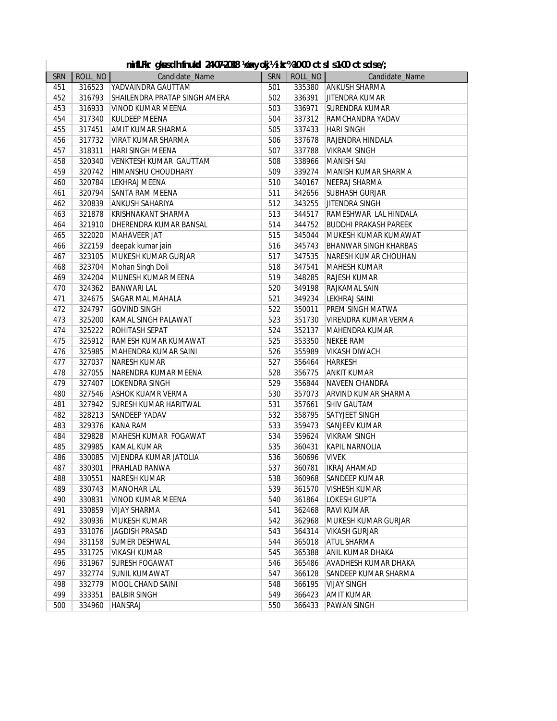|  |  |  | mifLFkr gkusch fnukal 24-07-2018 ½exyokj½ikr%10-00 ctsls1-00 ctsclse/; |  |  |
|--|--|--|------------------------------------------------------------------------|--|--|
|--|--|--|------------------------------------------------------------------------|--|--|

| <b>SRN</b> | ROLL_NO | Candidate_Name                | SRN |        | ROLL_NO<br>Candidate_Name    |
|------------|---------|-------------------------------|-----|--------|------------------------------|
| 451        | 316523  | YADVAINDRA GAUTTAM            | 501 | 335380 | <b>ANKUSH SHARMA</b>         |
| 452        | 316793  | SHAILENDRA PRATAP SINGH AMERA | 502 | 336391 | <b>JITENDRA KUMAR</b>        |
| 453        | 316933  | VINOD KUMAR MEENA             | 503 | 336971 | <b>SURENDRA KUMAR</b>        |
| 454        | 317340  | <b>KULDEEP MEENA</b>          | 504 | 337312 | RAMCHANDRA YADAV             |
| 455        | 317451  | AMIT KUMAR SHARMA             | 505 | 337433 | <b>HARI SINGH</b>            |
| 456        | 317732  | VIRAT KUMAR SHARMA            | 506 | 337678 | RAJENDRA HINDALA             |
| 457        | 318311  | <b>HARI SINGH MEENA</b>       | 507 | 337788 | <b>VIKRAM SINGH</b>          |
| 458        | 320340  | <b>VENKTESH KUMAR GAUTTAM</b> | 508 | 338966 | <b>MANISH SAI</b>            |
| 459        | 320742  | <b>HIMANSHU CHOUDHARY</b>     | 509 | 339274 | MANISH KUMAR SHARMA          |
| 460        | 320784  | LEKHRAJ MEENA                 | 510 | 340167 | NEERAJ SHARMA                |
| 461        | 320794  | <b>SANTA RAM MEENA</b>        | 511 | 342656 | <b>SUBHASH GURJAR</b>        |
| 462        | 320839  | <b>ANKUSH SAHARIYA</b>        | 512 | 343255 | <b>JITENDRA SINGH</b>        |
| 463        | 321878  | KRISHNAKANT SHARMA            | 513 | 344517 | RAMESHWAR LAL HINDALA        |
| 464        | 321910  | DHERENDRA KUMAR BANSAL        | 514 | 344752 | <b>BUDDHI PRAKASH PAREEK</b> |
| 465        | 322020  | MAHAVEER JAT                  | 515 | 345044 | MUKESH KUMAR KUMAWAT         |
| 466        | 322159  | deepak kumar jain             | 516 | 345743 | <b>BHANWAR SINGH KHARBAS</b> |
| 467        | 323105  | MUKESH KUMAR GURJAR           | 517 | 347535 | NARESH KUMAR CHOUHAN         |
| 468        | 323704  | Mohan Singh Doli              | 518 | 347541 | MAHESH KUMAR                 |
| 469        | 324204  | MUNESH KUMAR MEENA            | 519 | 348285 | <b>RAJESH KUMAR</b>          |
| 470        | 324362  | <b>BANWARI LAL</b>            | 520 | 349198 | RAJKAMAL SAIN                |
| 471        | 324675  | <b>SAGAR MAL MAHALA</b>       | 521 | 349234 | LEKHRAJ SAINI                |
| 472        | 324797  | <b>GOVIND SINGH</b>           | 522 | 350011 | <b>PREM SINGH MATWA</b>      |
| 473        | 325200  | KAMAL SINGH PALAWAT           | 523 | 351730 | VIRENDRA KUMAR VERMA         |
| 474        | 325222  | ROHITASH SEPAT                | 524 | 352137 | MAHENDRA KUMAR               |
| 475        | 325912  | RAMESH KUMAR KUMAWAT          | 525 | 353350 | <b>NEKEE RAM</b>             |
| 476        | 325985  | MAHENDRA KUMAR SAINI          | 526 | 355989 | <b>VIKASH DIWACH</b>         |
| 477        | 327037  | NARESH KUMAR                  | 527 | 356464 | <b>HARKESH</b>               |
| 478        | 327055  | NARENDRA KUMAR MEENA          | 528 | 356775 |                              |
|            |         |                               |     |        | ANKIT KUMAR                  |
| 479        | 327407  | <b>LOKENDRA SINGH</b>         | 529 | 356844 | NAVEEN CHANDRA               |
| 480        | 327546  | ASHOK KUAMR VERMA             | 530 | 357073 | ARVIND KUMAR SHARMA          |
| 481        | 327942  | <b>SURESH KUMAR HARITWAL</b>  | 531 | 357661 | <b>SHIV GAUTAM</b>           |
| 482        | 328213  | SANDEEP YADAV                 | 532 | 358795 | SATYJEET SINGH               |
| 483        | 329376  | KANA RAM                      | 533 | 359473 | SANJEEV KUMAR                |
| 484        | 329828  | MAHESH KUMAR FOGAWAT          | 534 | 359624 | <b>VIKRAM SINGH</b>          |
| 485        | 329985  | KAMAL KUMAR                   | 535 | 360431 | KAPIL NARNOLIA               |
| 486        | 330085  | VIJENDRA KUMAR JATOLIA        | 536 | 360696 | <b>VIVEK</b>                 |
| 487        | 330301  | PRAHLAD RANWA                 | 537 | 360781 | <b>IKRAJ AHAMAD</b>          |
| 488        | 330551  | NARESH KUMAR                  | 538 | 360968 | SANDEEP KUMAR                |
| 489        | 330743  | <b>MANOHAR LAL</b>            | 539 | 361570 | VISHESH KUMAR                |
| 490        | 330831  | <b>VINOD KUMAR MEENA</b>      | 540 | 361864 | <b>LOKESH GUPTA</b>          |
| 491        | 330859  | <b>VIJAY SHARMA</b>           | 541 | 362468 | RAVI KUMAR                   |
| 492        | 330936  | <b>MUKESH KUMAR</b>           | 542 | 362968 | MUKESH KUMAR GURJAR          |
| 493        | 331076  | JAGDISH PRASAD                | 543 | 364314 | <b>VIKASH GURJAR</b>         |
| 494        | 331158  | <b>SUMER DESHWAL</b>          | 544 | 365018 | ATUL SHARMA                  |
| 495        | 331725  | <b>VIKASH KUMAR</b>           | 545 | 365388 | ANIL KUMAR DHAKA             |
| 496        | 331967  | <b>SURESH FOGAWAT</b>         | 546 | 365486 | AVADHESH KUMAR DHAKA         |
| 497        | 332774  | <b>SUNIL KUMAWAT</b>          | 547 | 366128 | SANDEEP KUMAR SHARMA         |
| 498        | 332779  | MOOL CHAND SAINI              | 548 | 366195 | <b>VIJAY SINGH</b>           |
| 499        | 333351  | <b>BALBIR SINGH</b>           | 549 | 366423 | <b>AMIT KUMAR</b>            |
| 500        | 334960  | <b>HANSRAJ</b>                | 550 | 366433 | <b>PAWAN SINGH</b>           |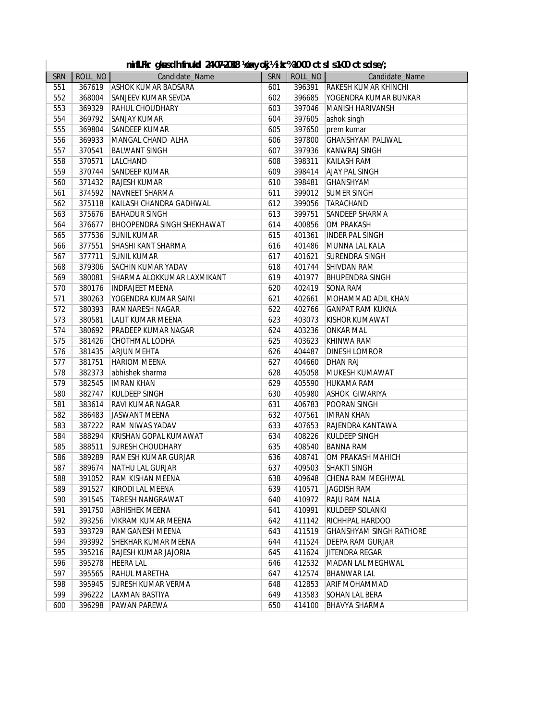| mifLFkr gkusdh fnukal 24-07-2018 ‰xyokj½ikr%10-00 ctsls1-00 ctsdse/; |
|----------------------------------------------------------------------|
|                                                                      |

| SRN |        | ROLL_NO<br>Candidate_Name         | SRN |        | -------<br>ROLL_NO<br>Candidate_Name |
|-----|--------|-----------------------------------|-----|--------|--------------------------------------|
| 551 |        | 367619 ASHOK KUMAR BADSARA        | 601 |        | 396391 RAKESH KUMAR KHINCHI          |
|     |        |                                   |     |        | YOGENDRA KUMAR BUNKAR                |
| 552 | 368004 | SANJEEV KUMAR SEVDA               | 602 | 396685 |                                      |
| 553 | 369329 | <b>RAHUL CHOUDHARY</b>            | 603 | 397046 | MANISH HARIVANSH                     |
| 554 | 369792 | <b>SANJAY KUMAR</b>               | 604 | 397605 | ashok singh                          |
| 555 | 369804 | <b>SANDEEP KUMAR</b>              | 605 | 397650 | prem kumar                           |
| 556 | 369933 | MANGAL CHAND ALHA                 | 606 | 397800 | <b>GHANSHYAM PALIWAL</b>             |
| 557 | 370541 | <b>BALWANT SINGH</b>              | 607 | 397936 | <b>KANWRAJ SINGH</b>                 |
| 558 | 370571 | <b>LALCHAND</b>                   | 608 | 398311 | <b>KAILASH RAM</b>                   |
| 559 | 370744 | SANDEEP KUMAR                     | 609 | 398414 | <b>AJAY PAL SINGH</b>                |
| 560 | 371432 | <b>RAJESH KUMAR</b>               | 610 | 398481 | <b>GHANSHYAM</b>                     |
| 561 | 374592 | NAVNEET SHARMA                    | 611 | 399012 | <b>SUMER SINGH</b>                   |
| 562 | 375118 | KAILASH CHANDRA GADHWAL           | 612 | 399056 | TARACHAND                            |
| 563 | 375676 | <b>BAHADUR SINGH</b>              | 613 | 399751 | SANDEEP SHARMA                       |
| 564 | 376677 | <b>BHOOPENDRA SINGH SHEKHAWAT</b> | 614 | 400856 | OM PRAKASH                           |
| 565 | 377536 | SUNIL KUMAR                       | 615 | 401361 | <b>INDER PAL SINGH</b>               |
| 566 | 377551 | SHASHI KANT SHARMA                | 616 | 401486 | MUNNA LAL KALA                       |
| 567 | 377711 | <b>SUNIL KUMAR</b>                | 617 | 401621 | <b>SURENDRA SINGH</b>                |
| 568 | 379306 | <b>SACHIN KUMAR YADAV</b>         | 618 | 401744 | <b>SHIVDAN RAM</b>                   |
| 569 | 380081 | SHARMA ALOKKUMAR LAXMIKANT        | 619 | 401977 | <b>BHUPENDRA SINGH</b>               |
| 570 | 380176 | <b>INDRAJEET MEENA</b>            | 620 | 402419 | ISONA RAM                            |
| 571 | 380263 | YOGENDRA KUMAR SAINI              | 621 | 402661 | MOHAMMAD ADIL KHAN                   |
| 572 | 380393 | <b>RAMNARESH NAGAR</b>            | 622 | 402766 | <b>GANPAT RAM KUKNA</b>              |
| 573 | 380581 | LALIT KUMAR MEENA                 | 623 | 403073 | <b>KISHOR KUMAWAT</b>                |
| 574 | 380692 | <b>PRADEEP KUMAR NAGAR</b>        | 624 | 403236 | ONKAR MAL                            |
| 575 | 381426 | CHOTHMAL LODHA                    | 625 | 403623 | KHINWA RAM                           |
| 576 | 381435 | <b>ARJUN MEHTA</b>                | 626 | 404487 | <b>DINESH LOMROR</b>                 |
| 577 | 381751 | <b>HARIOM MEENA</b>               | 627 | 404660 | <b>DHAN RAJ</b>                      |
| 578 | 382373 | abhishek sharma                   | 628 | 405058 | MUKESH KUMAWAT                       |
| 579 | 382545 | <b>IMRAN KHAN</b>                 | 629 | 405590 | <b>HUKAMA RAM</b>                    |
| 580 | 382747 | KULDEEP SINGH                     | 630 | 405980 | ASHOK GIWARIYA                       |
| 581 | 383614 | <b>RAVI KUMAR NAGAR</b>           | 631 | 406783 | POORAN SINGH                         |
| 582 | 386483 | JASWANT MEENA                     | 632 | 407561 | <b>IMRAN KHAN</b>                    |
| 583 | 387222 | <b>RAM NIWAS YADAV</b>            | 633 | 407653 | RAJENDRA KANTAWA                     |
| 584 | 388294 | KRISHAN GOPAL KUMAWAT             | 634 | 408226 | KULDEEP SINGH                        |
| 585 | 388511 | <b>SURESH CHOUDHARY</b>           | 635 | 408540 | <b>BANNA RAM</b>                     |
| 586 | 389289 | <b>RAMESH KUMAR GURJAR</b>        | 636 | 408741 | OM PRAKASH MAHICH                    |
| 587 | 389674 | NATHU LAL GURJAR                  | 637 | 409503 | <b>SHAKTI SINGH</b>                  |
| 588 | 391052 | <b>RAM KISHAN MEENA</b>           | 638 | 409648 | CHENA RAM MEGHWAL                    |
| 589 | 391527 | KIRODI LAL MEENA                  | 639 | 410571 | JAGDISH RAM                          |
| 590 | 391545 | <b>TARESH NANGRAWAT</b>           | 640 | 410972 | RAJU RAM NALA                        |
| 591 | 391750 | <b>ABHISHEK MEENA</b>             | 641 | 410991 | KULDEEP SOLANKI                      |
| 592 | 393256 | VIKRAM KUMAR MEENA                | 642 | 411142 | RICHHPAL HARDOO                      |
| 593 | 393729 | <b>RAMGANESH MEENA</b>            | 643 | 411519 | <b>GHANSHYAM SINGH RATHORE</b>       |
| 594 | 393992 | SHEKHAR KUMAR MEENA               | 644 | 411524 | DEEPA RAM GURJAR                     |
| 595 | 395216 | RAJESH KUMAR JAJORIA              | 645 | 411624 | JITENDRA REGAR                       |
| 596 | 395278 | <b>HEERA LAL</b>                  | 646 | 412532 | MADAN LAL MEGHWAL                    |
| 597 | 395565 | RAHUL MARETHA                     | 647 | 412574 | <b>BHANWAR LAL</b>                   |
| 598 | 395945 | <b>SURESH KUMAR VERMA</b>         | 648 | 412853 | <b>ARIF MOHAMMAD</b>                 |
| 599 | 396222 | LAXMAN BASTIYA                    | 649 | 413583 | SOHAN LAL BERA                       |
| 600 | 396298 | PAWAN PAREWA                      | 650 | 414100 | <b>BHAVYA SHARMA</b>                 |
|     |        |                                   |     |        |                                      |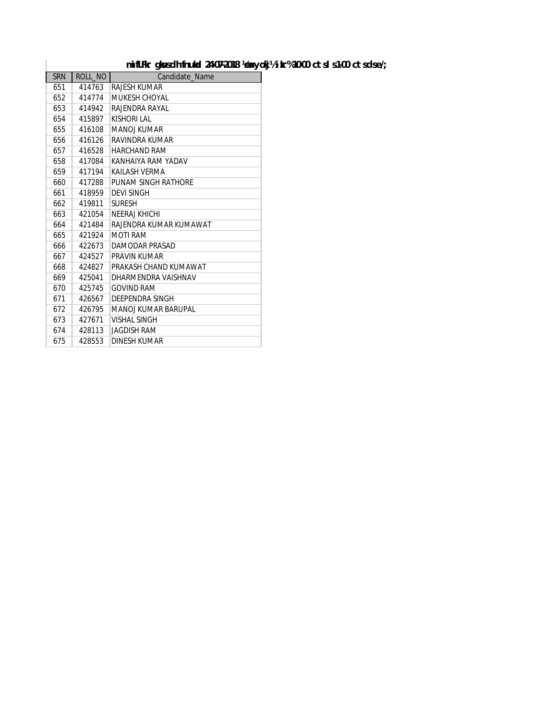#### mifLFkr gk sdh fnukal 24-07-2018 **1exyokj** 1/2 ikr% 10-00 ctsl s 1-00 ctsdse/;

| <b>SRN</b> | ROLL NO | Candidate Name         |
|------------|---------|------------------------|
| 651        | 414763  | RAJESH KUMAR           |
| 652        | 414774  | <b>MUKESH CHOYAL</b>   |
| 653        | 414942  | RAJENDRA RAYAL         |
| 654        | 415897  | KISHORI I AI           |
| 655        | 416108  | <b>MANOLKUMAR</b>      |
| 656        | 416126  | RAVINDRA KUMAR         |
| 657        | 416528  | <b>HARCHAND RAM</b>    |
| 658        | 417084  | KANHAIYA RAM YADAV     |
| 659        | 417194  | KAILASH VERMA          |
| 660        | 417288  | PUNAM SINGH RATHORE    |
| 661        | 418959  | <b>DEVI SINGH</b>      |
| 662        | 419811  | <b>SURESH</b>          |
| 663        | 421054  | NEERAJ KHICHI          |
| 664        | 421484  | RAJENDRA KUMAR KUMAWAT |
| 665        | 421924  | <b>MOTI RAM</b>        |
| 666        | 422673  | DAMODAR PRASAD         |
| 667        | 424527  | <b>PRAVIN KUMAR</b>    |
| 668        | 424827  | PRAKASH CHAND KUMAWAT  |
| 669        | 425041  | DHARMFNDRA VAISHNAV    |
| 670        | 425745  | <b>GOVIND RAM</b>      |
| 671        | 426567  | DEEPENDRA SINGH        |
| 672        | 426795  | MANOJ KUMAR BARUPAL    |
| 673        | 427671  | <b>VISHAL SINGH</b>    |
| 674        | 428113  | JAGDISH RAM            |
| 675        | 428553  | DINESH KUMAR           |

 $\overline{\phantom{a}}$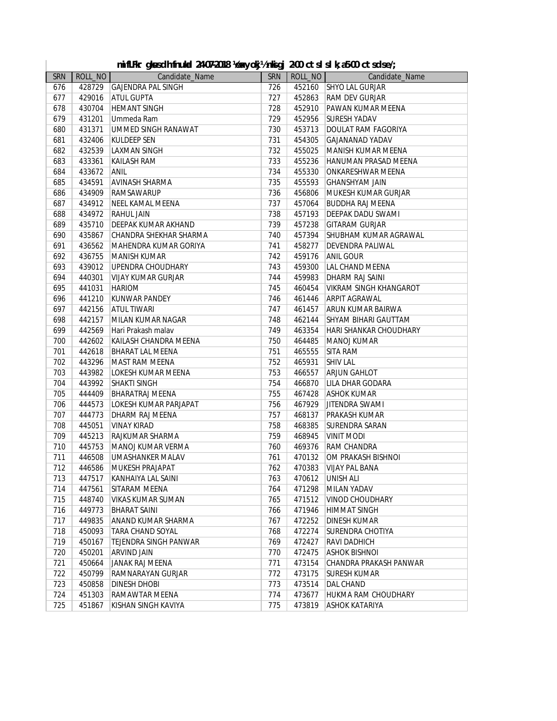|  | mifLFkr gkusdh fnukal 24-07-2018 ½exyokj½nkigj 2-00 ctslslk;a5-00 ctsdse/; |  |  |  |  |  |  |
|--|----------------------------------------------------------------------------|--|--|--|--|--|--|
|--|----------------------------------------------------------------------------|--|--|--|--|--|--|

| 428729 GAJENDRA PAL SINGH<br>726<br>452160<br><b>SHYO LAL GURJAR</b><br>676<br><b>ATUL GUPTA</b><br>727<br>452863<br>RAM DEV GURJAR<br>677<br>429016<br>678<br>728<br>452910<br>PAWAN KUMAR MEENA<br>430704<br><b>HEMANT SINGH</b><br>679<br>729<br>452956<br>431201<br>Ummeda Ram<br><b>SURESH YADAV</b><br>730<br>453713<br>680<br>431371<br>UMMED SINGH RANAWAT<br><b>DOULAT RAM FAGORIYA</b><br><b>KULDEEP SEN</b><br>731<br>454305<br>681<br>432406<br><b>GAJANANAD YADAV</b><br>682<br>732<br>455025<br>432539<br><b>LAXMAN SINGH</b><br>MANISH KUMAR MEENA<br>733<br>455236<br>683<br>433361<br><b>KAILASH RAM</b><br>HANUMAN PRASAD MEENA<br>734<br>455330<br>433672<br>ANIL<br>ONKARESHWAR MEENA<br>684<br><b>AVINASH SHARMA</b><br>735<br>685<br>434591<br>455593<br><b>GHANSHYAM JAIN</b><br>456806<br>686<br>434909<br>RAMSAWARUP<br>736<br>MUKESH KUMAR GURJAR<br>687<br>434912<br>NEEL KAMAL MEENA<br>737<br>457064<br><b>BUDDHA RAJ MEENA</b><br>457193<br>688<br>434972<br><b>RAHUL JAIN</b><br>738<br>DEEPAK DADU SWAMI<br>435710<br>739<br>457238<br>689<br>DEEPAK KUMAR AKHAND<br><b>GITARAM GURJAR</b><br>435867<br>690<br>CHANDRA SHEKHAR SHARMA<br>740<br>457394<br>SHUBHAM KUMAR AGRAWAL<br>458277<br>691<br>436562<br>MAHENDRA KUMAR GORIYA<br>741<br><b>DEVENDRA PALIWAL</b><br>692<br>436755<br><b>MANISH KUMAR</b><br>742<br>459176<br><b>ANIL GOUR</b><br>459300<br>693<br>439012<br>UPENDRA CHOUDHARY<br>743<br>LAL CHAND MEENA<br>694<br>744<br>459983<br>440301<br>VIJAY KUMAR GURJAR<br>DHARM RAJ SAINI<br>695<br>441031<br><b>HARIOM</b><br>745<br>460454<br><b>VIKRAM SINGH KHANGAROT</b><br>696<br>441210<br><b>KUNWAR PANDEY</b><br>746<br>461446<br><b>ARPIT AGRAWAL</b><br>697<br>747<br>442156<br><b>ATUL TIWARI</b><br>461457<br>ARUN KUMAR BAIRWA<br>698<br>442157<br>MILAN KUMAR NAGAR<br>748<br>462144<br>SHYAM BIHARI GAUTTAM<br>749<br>699<br>442569<br>Hari Prakash malav<br>463354<br><b>HARI SHANKAR CHOUDHARY</b><br>700<br>442602<br>KAILASH CHANDRA MEENA<br>750<br>464485<br>MANOJ KUMAR<br>751<br>701<br>442618<br><b>BHARAT LAL MEENA</b><br>465555<br><b>SITA RAM</b><br>752<br><b>SHIV LAL</b><br>702<br>443296<br>MAST RAM MEENA<br>465931<br>703<br>443982<br>LOKESH KUMAR MEENA<br>753<br>466557<br><b>ARJUN GAHLOT</b><br>704<br>443992<br><b>SHAKTI SINGH</b><br>754<br>466870<br>LILA DHAR GODARA<br>705<br>755<br>444409<br><b>BHARATRAJ MEENA</b><br>467428<br><b>ASHOK KUMAR</b><br>706<br>756<br>444573<br>LOKESH KUMAR PARJAPAT<br>467929<br><b>JITENDRA SWAMI</b><br>707<br>757<br>444773<br>DHARM RAJ MEENA<br>468137<br>PRAKASH KUMAR<br>758<br>708<br>445051<br><b>VINAY KIRAD</b><br>468385<br><b>SURENDRA SARAN</b><br>709<br>759<br>445213<br>RAJKUMAR SHARMA<br>468945<br><b>VINIT MODI</b><br>710<br>760<br>469376<br>445753<br>MANOJ KUMAR VERMA<br>RAM CHANDRA<br>711<br>761<br>470132<br>446508<br><b>UMASHANKER MALAV</b><br>OM PRAKASH BISHNOI<br>712<br>762<br>446586<br>MUKESH PRAJAPAT<br>470383<br><b>VIJAY PAL BANA</b><br>713<br>763<br>470612 UNISH ALI<br>447517 KANHAIYA LAL SAINI<br>714<br>447561<br>764<br>471298<br>MILAN YADAV<br>SITARAM MEENA<br>715<br>448740<br><b>VIKAS KUMAR SUMAN</b><br>765<br>471512<br><b>VINOD CHOUDHARY</b><br>471946<br>716<br>449773<br><b>BHARAT SAINI</b><br>766<br><b>HIMMAT SINGH</b><br>717<br>449835<br>767<br>472252<br><b>DINESH KUMAR</b><br>ANAND KUMAR SHARMA<br>472274<br>718<br>450093<br><b>TARA CHAND SOYAL</b><br>768<br><b>SURENDRA CHOTIYA</b><br>719<br>769<br>472427<br>450167<br><b>TEJENDRA SINGH PANWAR</b><br><b>RAVI DADHICH</b><br>720<br>450201<br>770<br>472475<br><b>ARVIND JAIN</b><br><b>ASHOK BISHNOL</b><br>721<br>450664<br>771<br>473154<br><b>JANAK RAJ MEENA</b><br>CHANDRA PRAKASH PANWAR<br>722<br>450799<br>772<br>473175<br>RAMNARAYAN GURJAR<br><b>SURESH KUMAR</b><br>723<br>773<br>450858<br>473514<br><b>DINESH DHOBI</b><br>DAL CHAND<br>724<br>774<br>473677<br>451303<br>RAMAWTAR MEENA<br>HUKMA RAM CHOUDHARY | <b>SRN</b> | ROLL_NO | Candidate_Name      | <b>SRN</b> |        | ROLL_NO<br>Candidate_Name |
|---------------------------------------------------------------------------------------------------------------------------------------------------------------------------------------------------------------------------------------------------------------------------------------------------------------------------------------------------------------------------------------------------------------------------------------------------------------------------------------------------------------------------------------------------------------------------------------------------------------------------------------------------------------------------------------------------------------------------------------------------------------------------------------------------------------------------------------------------------------------------------------------------------------------------------------------------------------------------------------------------------------------------------------------------------------------------------------------------------------------------------------------------------------------------------------------------------------------------------------------------------------------------------------------------------------------------------------------------------------------------------------------------------------------------------------------------------------------------------------------------------------------------------------------------------------------------------------------------------------------------------------------------------------------------------------------------------------------------------------------------------------------------------------------------------------------------------------------------------------------------------------------------------------------------------------------------------------------------------------------------------------------------------------------------------------------------------------------------------------------------------------------------------------------------------------------------------------------------------------------------------------------------------------------------------------------------------------------------------------------------------------------------------------------------------------------------------------------------------------------------------------------------------------------------------------------------------------------------------------------------------------------------------------------------------------------------------------------------------------------------------------------------------------------------------------------------------------------------------------------------------------------------------------------------------------------------------------------------------------------------------------------------------------------------------------------------------------------------------------------------------------------------------------------------------------------------------------------------------------------------------------------------------------------------------------------------------------------------------------------------------------------------------------------------------------------------------------------------------------------------------------------------------------------------------------------------------------------------------------------------------------------------------------------------------------------------------------------------------------------------------------------------------------------------------------------------------------------------------------------------------------------------------------------------------------------------------------------------------------------|------------|---------|---------------------|------------|--------|---------------------------|
|                                                                                                                                                                                                                                                                                                                                                                                                                                                                                                                                                                                                                                                                                                                                                                                                                                                                                                                                                                                                                                                                                                                                                                                                                                                                                                                                                                                                                                                                                                                                                                                                                                                                                                                                                                                                                                                                                                                                                                                                                                                                                                                                                                                                                                                                                                                                                                                                                                                                                                                                                                                                                                                                                                                                                                                                                                                                                                                                                                                                                                                                                                                                                                                                                                                                                                                                                                                                                                                                                                                                                                                                                                                                                                                                                                                                                                                                                                                                                                                             |            |         |                     |            |        |                           |
|                                                                                                                                                                                                                                                                                                                                                                                                                                                                                                                                                                                                                                                                                                                                                                                                                                                                                                                                                                                                                                                                                                                                                                                                                                                                                                                                                                                                                                                                                                                                                                                                                                                                                                                                                                                                                                                                                                                                                                                                                                                                                                                                                                                                                                                                                                                                                                                                                                                                                                                                                                                                                                                                                                                                                                                                                                                                                                                                                                                                                                                                                                                                                                                                                                                                                                                                                                                                                                                                                                                                                                                                                                                                                                                                                                                                                                                                                                                                                                                             |            |         |                     |            |        |                           |
|                                                                                                                                                                                                                                                                                                                                                                                                                                                                                                                                                                                                                                                                                                                                                                                                                                                                                                                                                                                                                                                                                                                                                                                                                                                                                                                                                                                                                                                                                                                                                                                                                                                                                                                                                                                                                                                                                                                                                                                                                                                                                                                                                                                                                                                                                                                                                                                                                                                                                                                                                                                                                                                                                                                                                                                                                                                                                                                                                                                                                                                                                                                                                                                                                                                                                                                                                                                                                                                                                                                                                                                                                                                                                                                                                                                                                                                                                                                                                                                             |            |         |                     |            |        |                           |
|                                                                                                                                                                                                                                                                                                                                                                                                                                                                                                                                                                                                                                                                                                                                                                                                                                                                                                                                                                                                                                                                                                                                                                                                                                                                                                                                                                                                                                                                                                                                                                                                                                                                                                                                                                                                                                                                                                                                                                                                                                                                                                                                                                                                                                                                                                                                                                                                                                                                                                                                                                                                                                                                                                                                                                                                                                                                                                                                                                                                                                                                                                                                                                                                                                                                                                                                                                                                                                                                                                                                                                                                                                                                                                                                                                                                                                                                                                                                                                                             |            |         |                     |            |        |                           |
|                                                                                                                                                                                                                                                                                                                                                                                                                                                                                                                                                                                                                                                                                                                                                                                                                                                                                                                                                                                                                                                                                                                                                                                                                                                                                                                                                                                                                                                                                                                                                                                                                                                                                                                                                                                                                                                                                                                                                                                                                                                                                                                                                                                                                                                                                                                                                                                                                                                                                                                                                                                                                                                                                                                                                                                                                                                                                                                                                                                                                                                                                                                                                                                                                                                                                                                                                                                                                                                                                                                                                                                                                                                                                                                                                                                                                                                                                                                                                                                             |            |         |                     |            |        |                           |
|                                                                                                                                                                                                                                                                                                                                                                                                                                                                                                                                                                                                                                                                                                                                                                                                                                                                                                                                                                                                                                                                                                                                                                                                                                                                                                                                                                                                                                                                                                                                                                                                                                                                                                                                                                                                                                                                                                                                                                                                                                                                                                                                                                                                                                                                                                                                                                                                                                                                                                                                                                                                                                                                                                                                                                                                                                                                                                                                                                                                                                                                                                                                                                                                                                                                                                                                                                                                                                                                                                                                                                                                                                                                                                                                                                                                                                                                                                                                                                                             |            |         |                     |            |        |                           |
|                                                                                                                                                                                                                                                                                                                                                                                                                                                                                                                                                                                                                                                                                                                                                                                                                                                                                                                                                                                                                                                                                                                                                                                                                                                                                                                                                                                                                                                                                                                                                                                                                                                                                                                                                                                                                                                                                                                                                                                                                                                                                                                                                                                                                                                                                                                                                                                                                                                                                                                                                                                                                                                                                                                                                                                                                                                                                                                                                                                                                                                                                                                                                                                                                                                                                                                                                                                                                                                                                                                                                                                                                                                                                                                                                                                                                                                                                                                                                                                             |            |         |                     |            |        |                           |
|                                                                                                                                                                                                                                                                                                                                                                                                                                                                                                                                                                                                                                                                                                                                                                                                                                                                                                                                                                                                                                                                                                                                                                                                                                                                                                                                                                                                                                                                                                                                                                                                                                                                                                                                                                                                                                                                                                                                                                                                                                                                                                                                                                                                                                                                                                                                                                                                                                                                                                                                                                                                                                                                                                                                                                                                                                                                                                                                                                                                                                                                                                                                                                                                                                                                                                                                                                                                                                                                                                                                                                                                                                                                                                                                                                                                                                                                                                                                                                                             |            |         |                     |            |        |                           |
|                                                                                                                                                                                                                                                                                                                                                                                                                                                                                                                                                                                                                                                                                                                                                                                                                                                                                                                                                                                                                                                                                                                                                                                                                                                                                                                                                                                                                                                                                                                                                                                                                                                                                                                                                                                                                                                                                                                                                                                                                                                                                                                                                                                                                                                                                                                                                                                                                                                                                                                                                                                                                                                                                                                                                                                                                                                                                                                                                                                                                                                                                                                                                                                                                                                                                                                                                                                                                                                                                                                                                                                                                                                                                                                                                                                                                                                                                                                                                                                             |            |         |                     |            |        |                           |
|                                                                                                                                                                                                                                                                                                                                                                                                                                                                                                                                                                                                                                                                                                                                                                                                                                                                                                                                                                                                                                                                                                                                                                                                                                                                                                                                                                                                                                                                                                                                                                                                                                                                                                                                                                                                                                                                                                                                                                                                                                                                                                                                                                                                                                                                                                                                                                                                                                                                                                                                                                                                                                                                                                                                                                                                                                                                                                                                                                                                                                                                                                                                                                                                                                                                                                                                                                                                                                                                                                                                                                                                                                                                                                                                                                                                                                                                                                                                                                                             |            |         |                     |            |        |                           |
|                                                                                                                                                                                                                                                                                                                                                                                                                                                                                                                                                                                                                                                                                                                                                                                                                                                                                                                                                                                                                                                                                                                                                                                                                                                                                                                                                                                                                                                                                                                                                                                                                                                                                                                                                                                                                                                                                                                                                                                                                                                                                                                                                                                                                                                                                                                                                                                                                                                                                                                                                                                                                                                                                                                                                                                                                                                                                                                                                                                                                                                                                                                                                                                                                                                                                                                                                                                                                                                                                                                                                                                                                                                                                                                                                                                                                                                                                                                                                                                             |            |         |                     |            |        |                           |
|                                                                                                                                                                                                                                                                                                                                                                                                                                                                                                                                                                                                                                                                                                                                                                                                                                                                                                                                                                                                                                                                                                                                                                                                                                                                                                                                                                                                                                                                                                                                                                                                                                                                                                                                                                                                                                                                                                                                                                                                                                                                                                                                                                                                                                                                                                                                                                                                                                                                                                                                                                                                                                                                                                                                                                                                                                                                                                                                                                                                                                                                                                                                                                                                                                                                                                                                                                                                                                                                                                                                                                                                                                                                                                                                                                                                                                                                                                                                                                                             |            |         |                     |            |        |                           |
|                                                                                                                                                                                                                                                                                                                                                                                                                                                                                                                                                                                                                                                                                                                                                                                                                                                                                                                                                                                                                                                                                                                                                                                                                                                                                                                                                                                                                                                                                                                                                                                                                                                                                                                                                                                                                                                                                                                                                                                                                                                                                                                                                                                                                                                                                                                                                                                                                                                                                                                                                                                                                                                                                                                                                                                                                                                                                                                                                                                                                                                                                                                                                                                                                                                                                                                                                                                                                                                                                                                                                                                                                                                                                                                                                                                                                                                                                                                                                                                             |            |         |                     |            |        |                           |
|                                                                                                                                                                                                                                                                                                                                                                                                                                                                                                                                                                                                                                                                                                                                                                                                                                                                                                                                                                                                                                                                                                                                                                                                                                                                                                                                                                                                                                                                                                                                                                                                                                                                                                                                                                                                                                                                                                                                                                                                                                                                                                                                                                                                                                                                                                                                                                                                                                                                                                                                                                                                                                                                                                                                                                                                                                                                                                                                                                                                                                                                                                                                                                                                                                                                                                                                                                                                                                                                                                                                                                                                                                                                                                                                                                                                                                                                                                                                                                                             |            |         |                     |            |        |                           |
|                                                                                                                                                                                                                                                                                                                                                                                                                                                                                                                                                                                                                                                                                                                                                                                                                                                                                                                                                                                                                                                                                                                                                                                                                                                                                                                                                                                                                                                                                                                                                                                                                                                                                                                                                                                                                                                                                                                                                                                                                                                                                                                                                                                                                                                                                                                                                                                                                                                                                                                                                                                                                                                                                                                                                                                                                                                                                                                                                                                                                                                                                                                                                                                                                                                                                                                                                                                                                                                                                                                                                                                                                                                                                                                                                                                                                                                                                                                                                                                             |            |         |                     |            |        |                           |
|                                                                                                                                                                                                                                                                                                                                                                                                                                                                                                                                                                                                                                                                                                                                                                                                                                                                                                                                                                                                                                                                                                                                                                                                                                                                                                                                                                                                                                                                                                                                                                                                                                                                                                                                                                                                                                                                                                                                                                                                                                                                                                                                                                                                                                                                                                                                                                                                                                                                                                                                                                                                                                                                                                                                                                                                                                                                                                                                                                                                                                                                                                                                                                                                                                                                                                                                                                                                                                                                                                                                                                                                                                                                                                                                                                                                                                                                                                                                                                                             |            |         |                     |            |        |                           |
|                                                                                                                                                                                                                                                                                                                                                                                                                                                                                                                                                                                                                                                                                                                                                                                                                                                                                                                                                                                                                                                                                                                                                                                                                                                                                                                                                                                                                                                                                                                                                                                                                                                                                                                                                                                                                                                                                                                                                                                                                                                                                                                                                                                                                                                                                                                                                                                                                                                                                                                                                                                                                                                                                                                                                                                                                                                                                                                                                                                                                                                                                                                                                                                                                                                                                                                                                                                                                                                                                                                                                                                                                                                                                                                                                                                                                                                                                                                                                                                             |            |         |                     |            |        |                           |
|                                                                                                                                                                                                                                                                                                                                                                                                                                                                                                                                                                                                                                                                                                                                                                                                                                                                                                                                                                                                                                                                                                                                                                                                                                                                                                                                                                                                                                                                                                                                                                                                                                                                                                                                                                                                                                                                                                                                                                                                                                                                                                                                                                                                                                                                                                                                                                                                                                                                                                                                                                                                                                                                                                                                                                                                                                                                                                                                                                                                                                                                                                                                                                                                                                                                                                                                                                                                                                                                                                                                                                                                                                                                                                                                                                                                                                                                                                                                                                                             |            |         |                     |            |        |                           |
|                                                                                                                                                                                                                                                                                                                                                                                                                                                                                                                                                                                                                                                                                                                                                                                                                                                                                                                                                                                                                                                                                                                                                                                                                                                                                                                                                                                                                                                                                                                                                                                                                                                                                                                                                                                                                                                                                                                                                                                                                                                                                                                                                                                                                                                                                                                                                                                                                                                                                                                                                                                                                                                                                                                                                                                                                                                                                                                                                                                                                                                                                                                                                                                                                                                                                                                                                                                                                                                                                                                                                                                                                                                                                                                                                                                                                                                                                                                                                                                             |            |         |                     |            |        |                           |
|                                                                                                                                                                                                                                                                                                                                                                                                                                                                                                                                                                                                                                                                                                                                                                                                                                                                                                                                                                                                                                                                                                                                                                                                                                                                                                                                                                                                                                                                                                                                                                                                                                                                                                                                                                                                                                                                                                                                                                                                                                                                                                                                                                                                                                                                                                                                                                                                                                                                                                                                                                                                                                                                                                                                                                                                                                                                                                                                                                                                                                                                                                                                                                                                                                                                                                                                                                                                                                                                                                                                                                                                                                                                                                                                                                                                                                                                                                                                                                                             |            |         |                     |            |        |                           |
|                                                                                                                                                                                                                                                                                                                                                                                                                                                                                                                                                                                                                                                                                                                                                                                                                                                                                                                                                                                                                                                                                                                                                                                                                                                                                                                                                                                                                                                                                                                                                                                                                                                                                                                                                                                                                                                                                                                                                                                                                                                                                                                                                                                                                                                                                                                                                                                                                                                                                                                                                                                                                                                                                                                                                                                                                                                                                                                                                                                                                                                                                                                                                                                                                                                                                                                                                                                                                                                                                                                                                                                                                                                                                                                                                                                                                                                                                                                                                                                             |            |         |                     |            |        |                           |
|                                                                                                                                                                                                                                                                                                                                                                                                                                                                                                                                                                                                                                                                                                                                                                                                                                                                                                                                                                                                                                                                                                                                                                                                                                                                                                                                                                                                                                                                                                                                                                                                                                                                                                                                                                                                                                                                                                                                                                                                                                                                                                                                                                                                                                                                                                                                                                                                                                                                                                                                                                                                                                                                                                                                                                                                                                                                                                                                                                                                                                                                                                                                                                                                                                                                                                                                                                                                                                                                                                                                                                                                                                                                                                                                                                                                                                                                                                                                                                                             |            |         |                     |            |        |                           |
|                                                                                                                                                                                                                                                                                                                                                                                                                                                                                                                                                                                                                                                                                                                                                                                                                                                                                                                                                                                                                                                                                                                                                                                                                                                                                                                                                                                                                                                                                                                                                                                                                                                                                                                                                                                                                                                                                                                                                                                                                                                                                                                                                                                                                                                                                                                                                                                                                                                                                                                                                                                                                                                                                                                                                                                                                                                                                                                                                                                                                                                                                                                                                                                                                                                                                                                                                                                                                                                                                                                                                                                                                                                                                                                                                                                                                                                                                                                                                                                             |            |         |                     |            |        |                           |
|                                                                                                                                                                                                                                                                                                                                                                                                                                                                                                                                                                                                                                                                                                                                                                                                                                                                                                                                                                                                                                                                                                                                                                                                                                                                                                                                                                                                                                                                                                                                                                                                                                                                                                                                                                                                                                                                                                                                                                                                                                                                                                                                                                                                                                                                                                                                                                                                                                                                                                                                                                                                                                                                                                                                                                                                                                                                                                                                                                                                                                                                                                                                                                                                                                                                                                                                                                                                                                                                                                                                                                                                                                                                                                                                                                                                                                                                                                                                                                                             |            |         |                     |            |        |                           |
|                                                                                                                                                                                                                                                                                                                                                                                                                                                                                                                                                                                                                                                                                                                                                                                                                                                                                                                                                                                                                                                                                                                                                                                                                                                                                                                                                                                                                                                                                                                                                                                                                                                                                                                                                                                                                                                                                                                                                                                                                                                                                                                                                                                                                                                                                                                                                                                                                                                                                                                                                                                                                                                                                                                                                                                                                                                                                                                                                                                                                                                                                                                                                                                                                                                                                                                                                                                                                                                                                                                                                                                                                                                                                                                                                                                                                                                                                                                                                                                             |            |         |                     |            |        |                           |
|                                                                                                                                                                                                                                                                                                                                                                                                                                                                                                                                                                                                                                                                                                                                                                                                                                                                                                                                                                                                                                                                                                                                                                                                                                                                                                                                                                                                                                                                                                                                                                                                                                                                                                                                                                                                                                                                                                                                                                                                                                                                                                                                                                                                                                                                                                                                                                                                                                                                                                                                                                                                                                                                                                                                                                                                                                                                                                                                                                                                                                                                                                                                                                                                                                                                                                                                                                                                                                                                                                                                                                                                                                                                                                                                                                                                                                                                                                                                                                                             |            |         |                     |            |        |                           |
|                                                                                                                                                                                                                                                                                                                                                                                                                                                                                                                                                                                                                                                                                                                                                                                                                                                                                                                                                                                                                                                                                                                                                                                                                                                                                                                                                                                                                                                                                                                                                                                                                                                                                                                                                                                                                                                                                                                                                                                                                                                                                                                                                                                                                                                                                                                                                                                                                                                                                                                                                                                                                                                                                                                                                                                                                                                                                                                                                                                                                                                                                                                                                                                                                                                                                                                                                                                                                                                                                                                                                                                                                                                                                                                                                                                                                                                                                                                                                                                             |            |         |                     |            |        |                           |
|                                                                                                                                                                                                                                                                                                                                                                                                                                                                                                                                                                                                                                                                                                                                                                                                                                                                                                                                                                                                                                                                                                                                                                                                                                                                                                                                                                                                                                                                                                                                                                                                                                                                                                                                                                                                                                                                                                                                                                                                                                                                                                                                                                                                                                                                                                                                                                                                                                                                                                                                                                                                                                                                                                                                                                                                                                                                                                                                                                                                                                                                                                                                                                                                                                                                                                                                                                                                                                                                                                                                                                                                                                                                                                                                                                                                                                                                                                                                                                                             |            |         |                     |            |        |                           |
|                                                                                                                                                                                                                                                                                                                                                                                                                                                                                                                                                                                                                                                                                                                                                                                                                                                                                                                                                                                                                                                                                                                                                                                                                                                                                                                                                                                                                                                                                                                                                                                                                                                                                                                                                                                                                                                                                                                                                                                                                                                                                                                                                                                                                                                                                                                                                                                                                                                                                                                                                                                                                                                                                                                                                                                                                                                                                                                                                                                                                                                                                                                                                                                                                                                                                                                                                                                                                                                                                                                                                                                                                                                                                                                                                                                                                                                                                                                                                                                             |            |         |                     |            |        |                           |
|                                                                                                                                                                                                                                                                                                                                                                                                                                                                                                                                                                                                                                                                                                                                                                                                                                                                                                                                                                                                                                                                                                                                                                                                                                                                                                                                                                                                                                                                                                                                                                                                                                                                                                                                                                                                                                                                                                                                                                                                                                                                                                                                                                                                                                                                                                                                                                                                                                                                                                                                                                                                                                                                                                                                                                                                                                                                                                                                                                                                                                                                                                                                                                                                                                                                                                                                                                                                                                                                                                                                                                                                                                                                                                                                                                                                                                                                                                                                                                                             |            |         |                     |            |        |                           |
|                                                                                                                                                                                                                                                                                                                                                                                                                                                                                                                                                                                                                                                                                                                                                                                                                                                                                                                                                                                                                                                                                                                                                                                                                                                                                                                                                                                                                                                                                                                                                                                                                                                                                                                                                                                                                                                                                                                                                                                                                                                                                                                                                                                                                                                                                                                                                                                                                                                                                                                                                                                                                                                                                                                                                                                                                                                                                                                                                                                                                                                                                                                                                                                                                                                                                                                                                                                                                                                                                                                                                                                                                                                                                                                                                                                                                                                                                                                                                                                             |            |         |                     |            |        |                           |
|                                                                                                                                                                                                                                                                                                                                                                                                                                                                                                                                                                                                                                                                                                                                                                                                                                                                                                                                                                                                                                                                                                                                                                                                                                                                                                                                                                                                                                                                                                                                                                                                                                                                                                                                                                                                                                                                                                                                                                                                                                                                                                                                                                                                                                                                                                                                                                                                                                                                                                                                                                                                                                                                                                                                                                                                                                                                                                                                                                                                                                                                                                                                                                                                                                                                                                                                                                                                                                                                                                                                                                                                                                                                                                                                                                                                                                                                                                                                                                                             |            |         |                     |            |        |                           |
|                                                                                                                                                                                                                                                                                                                                                                                                                                                                                                                                                                                                                                                                                                                                                                                                                                                                                                                                                                                                                                                                                                                                                                                                                                                                                                                                                                                                                                                                                                                                                                                                                                                                                                                                                                                                                                                                                                                                                                                                                                                                                                                                                                                                                                                                                                                                                                                                                                                                                                                                                                                                                                                                                                                                                                                                                                                                                                                                                                                                                                                                                                                                                                                                                                                                                                                                                                                                                                                                                                                                                                                                                                                                                                                                                                                                                                                                                                                                                                                             |            |         |                     |            |        |                           |
|                                                                                                                                                                                                                                                                                                                                                                                                                                                                                                                                                                                                                                                                                                                                                                                                                                                                                                                                                                                                                                                                                                                                                                                                                                                                                                                                                                                                                                                                                                                                                                                                                                                                                                                                                                                                                                                                                                                                                                                                                                                                                                                                                                                                                                                                                                                                                                                                                                                                                                                                                                                                                                                                                                                                                                                                                                                                                                                                                                                                                                                                                                                                                                                                                                                                                                                                                                                                                                                                                                                                                                                                                                                                                                                                                                                                                                                                                                                                                                                             |            |         |                     |            |        |                           |
|                                                                                                                                                                                                                                                                                                                                                                                                                                                                                                                                                                                                                                                                                                                                                                                                                                                                                                                                                                                                                                                                                                                                                                                                                                                                                                                                                                                                                                                                                                                                                                                                                                                                                                                                                                                                                                                                                                                                                                                                                                                                                                                                                                                                                                                                                                                                                                                                                                                                                                                                                                                                                                                                                                                                                                                                                                                                                                                                                                                                                                                                                                                                                                                                                                                                                                                                                                                                                                                                                                                                                                                                                                                                                                                                                                                                                                                                                                                                                                                             |            |         |                     |            |        |                           |
|                                                                                                                                                                                                                                                                                                                                                                                                                                                                                                                                                                                                                                                                                                                                                                                                                                                                                                                                                                                                                                                                                                                                                                                                                                                                                                                                                                                                                                                                                                                                                                                                                                                                                                                                                                                                                                                                                                                                                                                                                                                                                                                                                                                                                                                                                                                                                                                                                                                                                                                                                                                                                                                                                                                                                                                                                                                                                                                                                                                                                                                                                                                                                                                                                                                                                                                                                                                                                                                                                                                                                                                                                                                                                                                                                                                                                                                                                                                                                                                             |            |         |                     |            |        |                           |
|                                                                                                                                                                                                                                                                                                                                                                                                                                                                                                                                                                                                                                                                                                                                                                                                                                                                                                                                                                                                                                                                                                                                                                                                                                                                                                                                                                                                                                                                                                                                                                                                                                                                                                                                                                                                                                                                                                                                                                                                                                                                                                                                                                                                                                                                                                                                                                                                                                                                                                                                                                                                                                                                                                                                                                                                                                                                                                                                                                                                                                                                                                                                                                                                                                                                                                                                                                                                                                                                                                                                                                                                                                                                                                                                                                                                                                                                                                                                                                                             |            |         |                     |            |        |                           |
|                                                                                                                                                                                                                                                                                                                                                                                                                                                                                                                                                                                                                                                                                                                                                                                                                                                                                                                                                                                                                                                                                                                                                                                                                                                                                                                                                                                                                                                                                                                                                                                                                                                                                                                                                                                                                                                                                                                                                                                                                                                                                                                                                                                                                                                                                                                                                                                                                                                                                                                                                                                                                                                                                                                                                                                                                                                                                                                                                                                                                                                                                                                                                                                                                                                                                                                                                                                                                                                                                                                                                                                                                                                                                                                                                                                                                                                                                                                                                                                             |            |         |                     |            |        |                           |
|                                                                                                                                                                                                                                                                                                                                                                                                                                                                                                                                                                                                                                                                                                                                                                                                                                                                                                                                                                                                                                                                                                                                                                                                                                                                                                                                                                                                                                                                                                                                                                                                                                                                                                                                                                                                                                                                                                                                                                                                                                                                                                                                                                                                                                                                                                                                                                                                                                                                                                                                                                                                                                                                                                                                                                                                                                                                                                                                                                                                                                                                                                                                                                                                                                                                                                                                                                                                                                                                                                                                                                                                                                                                                                                                                                                                                                                                                                                                                                                             |            |         |                     |            |        |                           |
|                                                                                                                                                                                                                                                                                                                                                                                                                                                                                                                                                                                                                                                                                                                                                                                                                                                                                                                                                                                                                                                                                                                                                                                                                                                                                                                                                                                                                                                                                                                                                                                                                                                                                                                                                                                                                                                                                                                                                                                                                                                                                                                                                                                                                                                                                                                                                                                                                                                                                                                                                                                                                                                                                                                                                                                                                                                                                                                                                                                                                                                                                                                                                                                                                                                                                                                                                                                                                                                                                                                                                                                                                                                                                                                                                                                                                                                                                                                                                                                             |            |         |                     |            |        |                           |
|                                                                                                                                                                                                                                                                                                                                                                                                                                                                                                                                                                                                                                                                                                                                                                                                                                                                                                                                                                                                                                                                                                                                                                                                                                                                                                                                                                                                                                                                                                                                                                                                                                                                                                                                                                                                                                                                                                                                                                                                                                                                                                                                                                                                                                                                                                                                                                                                                                                                                                                                                                                                                                                                                                                                                                                                                                                                                                                                                                                                                                                                                                                                                                                                                                                                                                                                                                                                                                                                                                                                                                                                                                                                                                                                                                                                                                                                                                                                                                                             |            |         |                     |            |        |                           |
|                                                                                                                                                                                                                                                                                                                                                                                                                                                                                                                                                                                                                                                                                                                                                                                                                                                                                                                                                                                                                                                                                                                                                                                                                                                                                                                                                                                                                                                                                                                                                                                                                                                                                                                                                                                                                                                                                                                                                                                                                                                                                                                                                                                                                                                                                                                                                                                                                                                                                                                                                                                                                                                                                                                                                                                                                                                                                                                                                                                                                                                                                                                                                                                                                                                                                                                                                                                                                                                                                                                                                                                                                                                                                                                                                                                                                                                                                                                                                                                             |            |         |                     |            |        |                           |
|                                                                                                                                                                                                                                                                                                                                                                                                                                                                                                                                                                                                                                                                                                                                                                                                                                                                                                                                                                                                                                                                                                                                                                                                                                                                                                                                                                                                                                                                                                                                                                                                                                                                                                                                                                                                                                                                                                                                                                                                                                                                                                                                                                                                                                                                                                                                                                                                                                                                                                                                                                                                                                                                                                                                                                                                                                                                                                                                                                                                                                                                                                                                                                                                                                                                                                                                                                                                                                                                                                                                                                                                                                                                                                                                                                                                                                                                                                                                                                                             |            |         |                     |            |        |                           |
|                                                                                                                                                                                                                                                                                                                                                                                                                                                                                                                                                                                                                                                                                                                                                                                                                                                                                                                                                                                                                                                                                                                                                                                                                                                                                                                                                                                                                                                                                                                                                                                                                                                                                                                                                                                                                                                                                                                                                                                                                                                                                                                                                                                                                                                                                                                                                                                                                                                                                                                                                                                                                                                                                                                                                                                                                                                                                                                                                                                                                                                                                                                                                                                                                                                                                                                                                                                                                                                                                                                                                                                                                                                                                                                                                                                                                                                                                                                                                                                             |            |         |                     |            |        |                           |
|                                                                                                                                                                                                                                                                                                                                                                                                                                                                                                                                                                                                                                                                                                                                                                                                                                                                                                                                                                                                                                                                                                                                                                                                                                                                                                                                                                                                                                                                                                                                                                                                                                                                                                                                                                                                                                                                                                                                                                                                                                                                                                                                                                                                                                                                                                                                                                                                                                                                                                                                                                                                                                                                                                                                                                                                                                                                                                                                                                                                                                                                                                                                                                                                                                                                                                                                                                                                                                                                                                                                                                                                                                                                                                                                                                                                                                                                                                                                                                                             |            |         |                     |            |        |                           |
|                                                                                                                                                                                                                                                                                                                                                                                                                                                                                                                                                                                                                                                                                                                                                                                                                                                                                                                                                                                                                                                                                                                                                                                                                                                                                                                                                                                                                                                                                                                                                                                                                                                                                                                                                                                                                                                                                                                                                                                                                                                                                                                                                                                                                                                                                                                                                                                                                                                                                                                                                                                                                                                                                                                                                                                                                                                                                                                                                                                                                                                                                                                                                                                                                                                                                                                                                                                                                                                                                                                                                                                                                                                                                                                                                                                                                                                                                                                                                                                             |            |         |                     |            |        |                           |
|                                                                                                                                                                                                                                                                                                                                                                                                                                                                                                                                                                                                                                                                                                                                                                                                                                                                                                                                                                                                                                                                                                                                                                                                                                                                                                                                                                                                                                                                                                                                                                                                                                                                                                                                                                                                                                                                                                                                                                                                                                                                                                                                                                                                                                                                                                                                                                                                                                                                                                                                                                                                                                                                                                                                                                                                                                                                                                                                                                                                                                                                                                                                                                                                                                                                                                                                                                                                                                                                                                                                                                                                                                                                                                                                                                                                                                                                                                                                                                                             |            |         |                     |            |        |                           |
|                                                                                                                                                                                                                                                                                                                                                                                                                                                                                                                                                                                                                                                                                                                                                                                                                                                                                                                                                                                                                                                                                                                                                                                                                                                                                                                                                                                                                                                                                                                                                                                                                                                                                                                                                                                                                                                                                                                                                                                                                                                                                                                                                                                                                                                                                                                                                                                                                                                                                                                                                                                                                                                                                                                                                                                                                                                                                                                                                                                                                                                                                                                                                                                                                                                                                                                                                                                                                                                                                                                                                                                                                                                                                                                                                                                                                                                                                                                                                                                             |            |         |                     |            |        |                           |
|                                                                                                                                                                                                                                                                                                                                                                                                                                                                                                                                                                                                                                                                                                                                                                                                                                                                                                                                                                                                                                                                                                                                                                                                                                                                                                                                                                                                                                                                                                                                                                                                                                                                                                                                                                                                                                                                                                                                                                                                                                                                                                                                                                                                                                                                                                                                                                                                                                                                                                                                                                                                                                                                                                                                                                                                                                                                                                                                                                                                                                                                                                                                                                                                                                                                                                                                                                                                                                                                                                                                                                                                                                                                                                                                                                                                                                                                                                                                                                                             |            |         |                     |            |        |                           |
|                                                                                                                                                                                                                                                                                                                                                                                                                                                                                                                                                                                                                                                                                                                                                                                                                                                                                                                                                                                                                                                                                                                                                                                                                                                                                                                                                                                                                                                                                                                                                                                                                                                                                                                                                                                                                                                                                                                                                                                                                                                                                                                                                                                                                                                                                                                                                                                                                                                                                                                                                                                                                                                                                                                                                                                                                                                                                                                                                                                                                                                                                                                                                                                                                                                                                                                                                                                                                                                                                                                                                                                                                                                                                                                                                                                                                                                                                                                                                                                             | 725        | 451867  | KISHAN SINGH KAVIYA | 775        | 473819 | <b>ASHOK KATARIYA</b>     |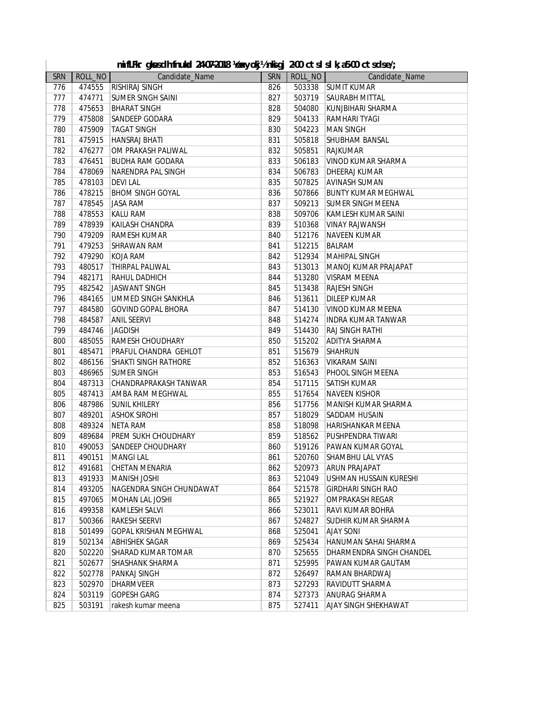|     |         | mifLFkr gkusdh fnukal 24-07-2018 Vexyokj½nkigj 2-00 ctslslk;a5-00 ctsdse/; |            |         |                            |
|-----|---------|----------------------------------------------------------------------------|------------|---------|----------------------------|
| SRN | ROLL_NO | Candidate_Name                                                             | <b>SRN</b> | ROLL_NO | Candidate_Name             |
| 776 | 474555  | <b>RISHIRAJ SINGH</b>                                                      | 826        | 503338  | <b>SUMIT KUMAR</b>         |
| 777 | 474771  | <b>SUMER SINGH SAINI</b>                                                   | 827        | 503719  | <b>SAURABH MITTAL</b>      |
| 778 | 475653  | <b>BHARAT SINGH</b>                                                        | 828        | 504080  | KUNJBIHARI SHARMA          |
| 779 | 475808  | <b>SANDEEP GODARA</b>                                                      | 829        | 504133  | <b>RAMHARI TYAGI</b>       |
| 780 | 475909  | <b>TAGAT SINGH</b>                                                         | 830        | 504223  | <b>MAN SINGH</b>           |
| 781 | 475915  | HANSRAJ BHATI                                                              | 831        | 505818  | SHUBHAM BANSAL             |
| 782 | 476277  | OM PRAKASH PALIWAL                                                         | 832        | 505851  | <b>RAJKUMAR</b>            |
| 783 | 476451  | <b>BUDHA RAM GODARA</b>                                                    | 833        | 506183  | <b>VINOD KUMAR SHARMA</b>  |
| 784 | 478069  | <b>NARENDRA PAL SINGH</b>                                                  | 834        | 506783  | <b>DHEERAJ KUMAR</b>       |
| 785 | 478103  | <b>DEVILAL</b>                                                             | 835        | 507825  | <b>AVINASH SUMAN</b>       |
| 786 | 478215  | <b>BHOM SINGH GOYAL</b>                                                    | 836        | 507866  | <b>BUNTY KUMAR MEGHWAL</b> |
| 787 | 478545  | <b>JASA RAM</b>                                                            | 837        | 509213  | <b>SUMER SINGH MEENA</b>   |
| 788 | 478553  | <b>KALU RAM</b>                                                            | 838        | 509706  | KAMLESH KUMAR SAINI        |
| 789 | 478939  | KAILASH CHANDRA                                                            | 839        | 510368  | <b>VINAY RAJWANSH</b>      |
| 790 | 479209  | RAMESH KUMAR                                                               | 840        | 512176  | <b>NAVEEN KUMAR</b>        |
| 791 | 479253  | <b>SHRAWAN RAM</b>                                                         | 841        | 512215  | <b>BALRAM</b>              |
| 792 | 479290  | KOJA RAM                                                                   | 842        | 512934  | <b>MAHIPAL SINGH</b>       |
| 793 | 480517  | <b>THIRPAL PALIWAL</b>                                                     | 843        | 513013  | MANOJ KUMAR PRAJAPAT       |
| 794 | 482171  | <b>RAHUL DADHICH</b>                                                       | 844        | 513280  | <b>VISRAM MEENA</b>        |
| 795 | 482542  | JASWANT SINGH                                                              | 845        | 513438  | <b>RAJESH SINGH</b>        |
| 796 | 484165  | UMMED SINGH SANKHLA                                                        | 846        | 513611  | DILEEP KUMAR               |
| 797 | 484580  | <b>GOVIND GOPAL BHORA</b>                                                  | 847        | 514130  | <b>VINOD KUMAR MEENA</b>   |
| 798 | 484587  | <b>ANIL SEERVI</b>                                                         | 848        | 514274  | <b>INDRA KUMAR TANWAR</b>  |
| 799 | 484746  | <b>JAGDISH</b>                                                             | 849        | 514430  | <b>RAJ SINGH RATHI</b>     |
| 800 | 485055  | <b>RAMESH CHOUDHARY</b>                                                    | 850        | 515202  | <b>ADITYA SHARMA</b>       |
| 801 | 485471  | PRAFUL CHANDRA GEHLOT                                                      | 851        | 515679  | <b>SHAHRUN</b>             |
| 802 | 486156  | <b>SHAKTI SINGH RATHORE</b>                                                | 852        | 516363  | <b>VIKARAM SAINI</b>       |
| 803 | 486965  | <b>SUMER SINGH</b>                                                         | 853        | 516543  | PHOOL SINGH MEENA          |
| 804 | 487313  | CHANDRAPRAKASH TANWAR                                                      | 854        | 517115  | <b>SATISH KUMAR</b>        |
| 805 | 487413  | <b>AMBA RAM MEGHWAL</b>                                                    | 855        | 517654  | <b>NAVEEN KISHOR</b>       |
| 806 | 487986  | <b>SUNIL KHILERY</b>                                                       | 856        | 517756  | MANISH KUMAR SHARMA        |
| 807 | 489201  | <b>ASHOK SIROHI</b>                                                        | 857        | 518029  | <b>SADDAM HUSAIN</b>       |
| 808 | 489324  | <b>NETA RAM</b>                                                            | 858        | 518098  | <b>HARISHANKAR MEENA</b>   |
| 809 | 489684  | <b>PREM SUKH CHOUDHARY</b>                                                 | 859        | 518562  | PUSHPENDRA TIWARI          |
| 810 | 490053  | <b>SANDEEP CHOUDHARY</b>                                                   | 860        | 519126  | PAWAN KUMAR GOYAL          |
| 811 | 490151  | <b>MANGILAL</b>                                                            | 861        | 520760  | <b>SHAMBHU LAL VYAS</b>    |
| 812 |         | 491681 CHETAN MENARIA                                                      | 862        |         | 520973 ARUN PRAJAPAT       |
| 813 | 491933  | MANISH JOSHI                                                               | 863        | 521049  | USHMAN HUSSAIN KURESHI     |
| 814 | 493205  | NAGENDRA SINGH CHUNDAWAT                                                   | 864        | 521578  | <b>GIRDHARI SINGH RAO</b>  |
| 815 | 497065  | <b>MOHAN LAL JOSHI</b>                                                     | 865        | 521927  | <b>OMPRAKASH REGAR</b>     |
| 816 | 499358  | KAMLESH SALVI                                                              | 866        | 523011  | RAVI KUMAR BOHRA           |
| 817 | 500366  | RAKESH SEERVI                                                              | 867        | 524827  | SUDHIR KUMAR SHARMA        |
| 818 | 501499  | <b>GOPAL KRISHAN MEGHWAL</b>                                               | 868        | 525041  | <b>AJAY SONI</b>           |
| 819 | 502134  | <b>ABHISHEK SAGAR</b>                                                      | 869        | 525434  | HANUMAN SAHAI SHARMA       |
| 820 | 502220  | SHARAD KUMAR TOMAR                                                         | 870        | 525655  | DHARMENDRA SINGH CHANDEL   |
| 821 | 502677  | SHASHANK SHARMA                                                            | 871        | 525995  | PAWAN KUMAR GAUTAM         |
| 822 | 502778  | PANKAJ SINGH                                                               | 872        | 526497  | RAMAN BHARDWAJ             |
| 823 | 502970  | <b>DHARMVEER</b>                                                           | 873        | 527293  | RAVIDUTT SHARMA            |
| 824 | 503119  | <b>GOPESH GARG</b>                                                         | 874        | 527373  | ANURAG SHARMA              |
| 825 | 503191  | rakesh kumar meena                                                         | 875        | 527411  | AJAY SINGH SHEKHAWAT       |
|     |         |                                                                            |            |         |                            |